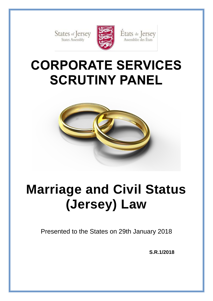States of Jersey



États de Jersey<br>Assemblée des États

# **CORPORATE SERVICES SCRUTINY PANEL**



# **Marriage and Civil Status (Jersey) Law**

Presented to the States on 29th January 2018

**S.R.1/2018**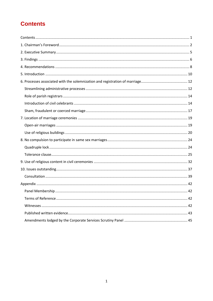# <span id="page-2-0"></span>**Contents**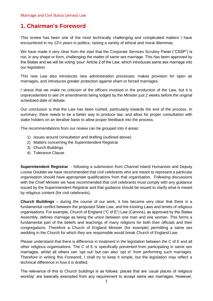# <span id="page-3-0"></span>**1. Chairman's Foreword**

This review has been one of the most technically challenging and complicated matters I have encountered in my 12½ years in politics, raising a variety of ethical and moral dilemmas.

We have made it very clear from the start that the Corporate Services Scrutiny Panel ("CSSP") is not, in any shape or form, challenging the matter of same sex marriage. This has been approved by the States and we will be voting 'pour' Article 2 of the Law, which introduces same sex marriage into our legislation.

This new Law also introduces new administration processes; makes provision for open air marriages, and introduces greater protection against sham or forced marriages.

I stress that we make no criticism of the officers involved in the production of the Law, but it is unprecedented to see 24 amendments being lodged by the Minister just 2 weeks before the original scheduled date of debate.

Our conclusion is that the Law has been rushed, particularly towards the end of the process. In summary, there needs to be a better way to produce law, and allow for proper consultation with stake holders on an iterative basis to allow proper feedback into the process.

The recommendations from our review can be grouped into 4 areas:

- 1) Issues around consultation and drafting (outlined above)
- 2) Matters concerning the Superintendent Registrar
- 3) Church Buildings
- 4) Tolerance Clause

**Superintendent Registrar** - following a submission from Channel Island Humanists and Deputy Louise Doublet we have recommended that civil celebrants who are meant to represent a particular organisation should have appropriate qualifications from that organisation. Following discussions with the Chief Minister we have recommended that civil celebrants must comply with any guidance issued by the Superintendent Registrar and that guidance should be issued to clarify what is meant by religious content (for civil celebrants).

**Church Buildings** – during the course of our work, it has become very clear that there is a fundamental conflict between the proposed State Law, and the existing Laws and tenets of religious organisations. For example, Church of England ("C of E") Law (Canons), as approved by the States Assembly, defines marriage as being the union between one man and one woman. This forms a fundamental part of the beliefs and teachings of many religions for both their officials and their congregations. Therefore a Church of England Minister (for example) permitting a same sex wedding in the Church for which they are responsible would break Church of England Law.

Please understand that there is difference in treatment in the legislation between the C of E and all other religious organisations. The C of E is specifically prevented from participating in same sex marriages, whilst all others can 'opt out' but can also 'opt in' from performing such marriages. Therefore in writing this Foreword, I shall try to keep it simple, but the legislation may reflect a technical difference in how it is drafted.

The relevance of this to Church buildings is as follows: places that are 'usual places of religious worship' are basically exempted from any requirement to accept same sex marriages. However,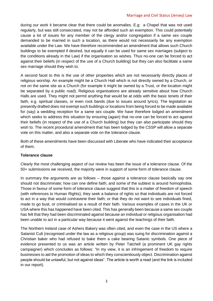#### Marriage and Civil Status (Jersey) Law

during our work it became clear that there could be anomalies. E.g: a Chapel that was not used regularly, but was still consecrated, may not be afforded such an exemption. This could potentially cause a lot of issues for any member of the clergy and/or congregation if a same sex couple demanded to be married in such a location, as there would not necessarily be any exemption available under the Law. We have therefore recommended an amendment that allows such Church buildings to be exempted if desired, but equally it can be used for same sex marriages (subject to the conditions already in the Law) if the organisation so wishes. Thus no-one can be forced to act against their beliefs (in respect of the use of a Church building) but they can also facilitate a same sex marriage should they wish to.

A second facet to this is the use of other properties which are not necessarily directly places of religious worship. An example might be a Church Hall which is not directly owned by a Church, or not on the same site as a Church (for example it might be owned by a Trust, or the location might be separated by a public road). Religious organisations are already sensitive about how Church Halls are used. They might not permit anything that would be at odds with the basic tenets of their faith, e.g. spiritual classes, or even rock bands (due to issues around lyrics). The legislation as presently drafted does not exempt such buildings or locations from being forced to be made available for (say) a wedding reception for a same sex couple. We have therefore lodged an amendment which seeks to address this situation by ensuring (again) that no-one can be forced to act against their beliefs (in respect of the use of a Church building) but they can also participate should they wish to. The recent procedural amendment that has been lodged by the CSSP will allow a separate vote on this matter, and also a separate vote on the tolerance clause.

Both of these amendments have been discussed with Liberate who have indicated their acceptance of them.

#### **Tolerance clause**

Clearly the most challenging aspect of our review has been the issue of a tolerance clause. Of the 50+ submissions we received, the majority were in support of some form of tolerance clause.

In summary the arguments are as follows – those against a tolerance clause basically say one should not discriminate; how can one define faith; and some of the subtext is around homophobia. Those in favour of some form of tolerance clause suggest that this is a matter of freedom of speech (with references to Human Rights); they seek a balance of rights so that individuals are not forced to act in a way that would contravene their faith; or that they do not want to see individuals fined, made to go bust, or criminalised as a result of their faith. Various examples of cases in the UK or USA where this has happened have been cited. This has generally been because a same sex couple has felt that they had been discriminated against because an individual or religious organisation had been unable to act in a particular way because it went against the teachings of their faith.

The Northern Ireland case of Ashers Bakery was often cited, and even the case in the US where a Satanist Cult (recognised under the law as a religious group) was suing for discrimination against a Christian baker who had refused to bake them a cake bearing Satanic symbols. One piece of evidence presented to us was an article written by Peter Tatchell (a prominent UK gay rights campaigner) which concludes as follows: "In my view, it is an infringement of freedom to require businesses to aid the promotion of ideas to which they conscientiously object. Discrimination against people should be unlawful, but not against ideas". The article is worth a read (and the link is included in our report).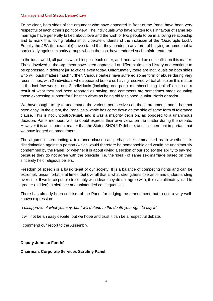#### Marriage and Civil Status (Jersey) Law

To be clear, both sides of the argument who have appeared in front of the Panel have been very respectful of each other's point of view. The individuals who have written to us in favour of same sex marriage have generally talked about love and the wish of two people to be in a loving relationship and to mark that loving relationship. Liberate understand the inclusion of the 'Quadruple Lock'. Equally the JEA (for example) have stated that they condemn any form of bullying or homophobia particularly against minority groups who in the past have endured such unfair treatment.

In the ideal world, all parties would respect each other, and there would be no conflict on this matter. Those involved in the argument have been oppressed at different times in history and continue to be oppressed in different jurisdictions even today. Unfortunately there are individuals on both sides who will push matters much further. Various parties have suffered some form of abuse during very recent times, with 2 individuals who appeared before us having received verbal abuse on this matter in the last few weeks, and 2 individuals (including one panel member) being 'trolled' online as a result of what they had been reported as saying, and comments are sometimes made equating those expressing support for Christian views as being old fashioned, quaint, Nazis or racist.

We have sought to try to understand the various perspectives on these arguments and it has not been easy. In the event, the Panel as a whole has come down on the side of some form of tolerance clause. This is not uncontroversial, and it was a majority decision, as opposed to a unanimous decision. Panel members will no doubt express their own views on the matter during the debate. However it is an important matter that the States SHOULD debate, and it is therefore important that we have lodged an amendment.

The argument surrounding a tolerance clause can perhaps be summarised as to whether it is discrimination against a person (which would therefore be homophobic and would be unanimously condemned by the Panel) or whether it is about giving a section of our society the ability to say 'no' because they do not agree with the principle (i.e. the 'idea') of same sex marriage based on their sincerely held religious beliefs.

Freedom of speech is a basic tenet of our society. It is a balance of competing rights and can be extremely uncomfortable at times, but overall that is what strengthens tolerance and understanding over time. If we force people to comply with ideas they do not agree with, this can ultimately lead to greater (hidden) intolerance and unintended consequences.

There has already been criticism of the Panel for lodging the amendment, but to use a very wellknown expression:

*"I disapprove of what you say, but I will defend to the death your right to say it"* 

It will not be an easy debate, but we hope and trust it can be a respectful debate.

I commend our report to the Assembly.

#### **Deputy John Le Fondré**

#### **Chairman, Corporate Services Scrutiny Panel**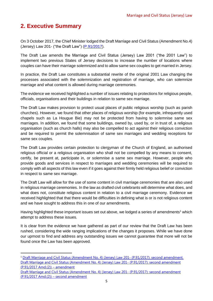# <span id="page-6-0"></span>**2. Executive Summary**

 $\overline{a}$ 

On 3 October 2017, the Chief Minister lodged the Draft Marriage and Civil Status (Amendment No.4) (Jersey) Law 201- ("the Draft Law") [\(P.91/2017\)](http://www.statesassembly.gov.je/assemblypropositions/2017/p.91-2017%20with%20corrig%20amdt.pdf).

The Draft Law amends the Marriage and Civil Status (Jersey) Law 2001 ("the 2001 Law") to implement two previous States of Jersey decisions to increase the number of locations where couples can have their marriage solemnized and to allow same sex couples to get married in Jersey.

In practice, the Draft Law constitutes a substantial rewrite of the original 2001 Law changing the processes associated with the solemnization and registration of marriage, who can solemnize marriage and what content is allowed during marriage ceremonies.

The evidence we received highlighted a number of issues relating to protections for religious people, officials, organisations and their buildings in relation to same sex marriage.

The Draft Law makes provision to protect usual places of public religious worship (such as parish churches). However, we found that other places of religious worship (for example, infrequently used chapels such as La Hougue Bie) may not be protected from having to solemnise same sex marriages. In addition, we found that some buildings, owned by, used by, or in trust of, a religious organisation (such as church halls) may also be compelled to act against their religious conviction and be required to permit the solemnisation of same sex marriages and wedding receptions for same sex couples.

The Draft Law provides certain protection to clergyman of the Church of England, an authorised religious official or a religious organisation who shall not be compelled by any means to consent, certify, be present at, participate in, or solemnise a same sex marriage. However, people who provide goods and services in respect to marriages and wedding ceremonies will be required to comply with all aspects of this law even if it goes against their firmly held religious belief or conviction in respect to same sex marriage.

The Draft Law will allow for the use of some content in civil marriage ceremonies that are also used in religious marriage ceremonies. In the law as drafted civil celebrants will determine what does, and what does not, constitute religious content in relation to a civil marriage ceremony. Evidence we received highlighted that that there would be difficulties in defining what is or is not religious content and we have sought to address this in one of our amendments.

Having highlighted these important issues set out above, we lodged a series of amendments<sup>1</sup> which attempt to address these issues.

It is clear from the evidence we have gathered as part of our review that the Draft Law has been rushed, considering the wide ranging implications of the changes it proposes. While we have done our upmost to find and address any outstanding issues we cannot guarantee that more will not be found once the Law has been approved.

<sup>1</sup> [Draft Marriage and Civil Status \(Amendment No. 4\) \(Jersey\) Law 201-](http://www.statesassembly.gov.je/assemblypropositions/2017/p.91-2017amd(2).pdf) (P.91/2017): second amendment. [Draft Marriage and Civil Status \(Amendment No. 4\) \(Jersey\) Law 201-](http://www.statesassembly.gov.je/assemblypropositions/2017/p.91-2017amd(2)amd.pdf) (P.91/2017): second amendment [\(P.91/2017 Amd.\(2\)\)](http://www.statesassembly.gov.je/assemblypropositions/2017/p.91-2017amd(2)amd.pdf) – amendment

[Draft Marriage and Civil Status \(Amendment No. 4\) \(Jersey\) Law 201-](http://www.statesassembly.gov.je/assemblypropositions/2017/p.91-2017amd(2)amd(2).pdf) (P.91/2017): second amendment  $(P.91/2017$  Amd. $(2))$  – second amendment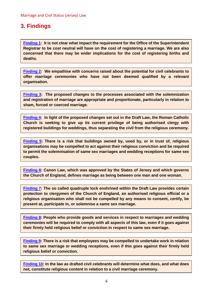# <span id="page-7-0"></span>**3. Findings**

**[Finding 1:](#page-14-0) It is not clear what impact the requirement for the Office of the Superintendent Registrar to be cost neutral will have on the cost of registering a marriage. We are also concerned that there may be wider implications for the cost of registering births and deaths.** 

**[Finding 2:](#page-18-1) We empathise with concerns raised about the potential for civil celebrants to offer marriage ceremonies who have not been deemed qualified by a relevant organisation.**

**[Finding 3:](#page-19-0) The proposed changes to the processes associated with the solemnization and registration of marriage are appropriate and proportionate, particularly in relation to sham, forced or coerced marriage.** 

**[Finding 4:](#page-22-0) In light of the proposed changes set out in the Draft Law, the Roman Catholic Church is seeking to give up its current privilege of being authorised clergy with registered buildings for weddings, thus separating the civil from the religious ceremony.** 

**[Finding 5:](#page-24-0) There is a risk that buildings owned by, used by, or in trust of, religious organisations may be compelled to act against their religious conviction and be required to permit the solemnisation of same sex marriages and wedding receptions for same sex couples.** 

**[Finding 6:](#page-26-1) Canon Law, which was approved by the States of Jersey and which governs the Church of England, defines marriage as being between one man and one woman.** 

**[Finding 7:](#page-26-2) The so called quadruple lock enshrined within the Draft Law provides certain protection to clergymen of the Church of England, an authorised religious official or a religious organisation who shall not be compelled by any means to consent, certify, be present at, participate in, or solemnise a same sex marriage.** 

**[Finding 8:](#page-32-0) People who provide goods and services in respect to marriages and wedding ceremonies will be required to comply with all aspects of this law, even if it goes against their firmly held religious belief or conviction in respect to same sex marriage.** 

**[Finding 9:](#page-32-1) There is a risk that employees may be compelled to undertake work in relation to same sex marriage or wedding receptions, even if this goes against their firmly held religious belief or conviction.** 

**[Finding 10:](#page-36-0) In the law as drafted civil celebrants will determine what does, and what does not, constitute religious content in relation to a civil marriage ceremony.**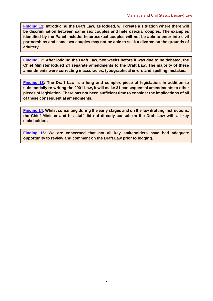**[Finding 11:](#page-39-0) Introducing the Draft Law, as lodged, will create a situation where there will be discrimination between same sex couples and heterosexual couples. The examples identified by the Panel include: heterosexual couples will not be able to enter into civil partnerships and same sex couples may not be able to seek a divorce on the grounds of adultery.** 

**[Finding 12:](#page-39-1) After lodging the Draft Law, two weeks before it was due to be debated, the Chief Minister lodged 24 separate amendments to the Draft Law. The majority of these amendments were correcting inaccuracies, typographical errors and spelling mistakes.**

**[Finding 13:](#page-39-2) The Draft Law is a long and complex piece of legislation. In addition to substantially re-writing the 2001 Law, it will make 31 consequential amendments to other pieces of legislation. There has not been sufficient time to consider the implications of all of these consequential amendments.** 

**[Finding 14:](#page-40-1) Whilst consulting during the early stages and on the law drafting instructions, the Chief Minister and his staff did not directly consult on the Draft Law with all key stakeholders.** 

**[Finding 15:](#page-42-0) We are concerned that not all key stakeholders have had adequate opportunity to review and comment on the Draft Law prior to lodging.**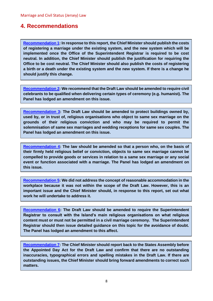## <span id="page-9-0"></span>**4. Recommendations**

**[Recommendation 1:](#page-15-2) In response to this report, the Chief Minister should publish the costs of registering a marriage under the existing system, and the new system which will be implemented once the Office of the Superintendent Registrar is required to be cost neutral. In addition, the Chief Minister should publish the justification for requiring the Office to be cost neutral. The Chief Minister should also publish the costs of registering a birth or a death under the existing system and the new system. If there is a change he should justify this change.** 

**[Recommendation 2:](#page-18-2) We recommend that the Draft Law should be amended to require civil celebrants to be qualified when delivering certain types of ceremony (e.g. humanist). The Panel has lodged an amendment on this issue.**

**[Recommendation 3:](#page-24-1) The Draft Law should be amended to protect buildings owned by, used by, or in trust of, religious organisations who object to same sex marriage on the grounds of their religious conviction and who may be required to permit the solemnisation of same sex marriages and wedding receptions for same sex couples. The Panel has lodged an amendment on this issue.**

**[Recommendation 4:](#page-32-2) The law should be amended so that a person who, on the basis of their firmly held religious belief or conviction, objects to same sex marriage cannot be compelled to provide goods or services in relation to a same sex marriage or any social event or function associated with a marriage. The Panel has lodged an amendment on this issue.**

**[Recommendation 5:](#page-32-3) We did not address the concept of reasonable accommodation in the workplace because it was not within the scope of the Draft Law. However, this is an important issue and the Chief Minister should, in response to this report, set out what work he will undertake to address it.** 

**[Recommendation 6:](#page-37-0) The Draft Law should be amended to require the Superintendent Registrar to consult with the Island's main religious organisations on what religious content must or must not be permitted in a civil marriage ceremony. The Superintendent Registrar should then issue detailed guidance on this topic for the avoidance of doubt. The Panel has lodged an amendment to this affect.**

**[Recommendation 7:](#page-40-2) The Chief Minister should report back to the States Assembly before the Appointed Day Act for the Draft Law and confirm that there are no outstanding inaccuracies, typographical errors and spelling mistakes in the Draft Law. If there are outstanding issues, the Chief Minister should bring forward amendments to correct such matters.**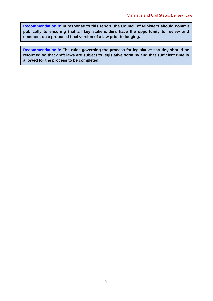**[Recommendation 8:](#page-42-1) In response to this report, the Council of Ministers should commit publically to ensuring that all key stakeholders have the opportunity to review and comment on a proposed final version of a law prior to lodging.** 

**[Recommendation 9:](#page-42-2) The rules governing the process for legislative scrutiny should be reformed so that draft laws are subject to legislative scrutiny and that sufficient time is allowed for the process to be completed.**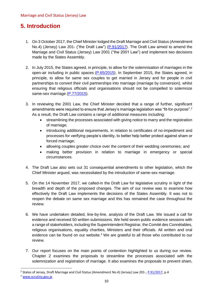# <span id="page-11-0"></span>**5. Introduction**

- 1. On 3 October 2017, the Chief Minister lodged the Draft Marriage and Civil Status (Amendment No.4) (Jersey) Law 201- ("the Draft Law") [\(P.91/2017\)](http://www.statesassembly.gov.je/assemblypropositions/2017/p.91-2017%20with%20corrig%20amdt.pdf). The Draft Law aimed to amend the Marriage and Civil Status (Jersey) Law 2001 ("the 2001 Law") and implement two decisions made by the States Assembly.
- 2. In July 2015, the States agreed, in principle, to allow for the solemnisation of marriages in the open-air including in public spaces [\(P.65/2015\)](http://www.statesassembly.gov.je/AssemblyPropositions/2015/P.65-2015.pdf). In September 2015, the States agreed, in principle, to allow for same sex couples to get married in Jersey and for people in civil partnerships to convert their civil partnerships into marriage (marriage by conversion), whilst ensuring that religious officials and organisations should not be compelled to solemnize same-sex marriage [\(P.77/2015\)](http://www.statesassembly.gov.je/AssemblyPropositions/2015/P.77-2015.pdf).
- 3. In reviewing the 2001 Law, the Chief Minister decided that a range of further, significant amendments were required to ensure that Jersey's marriage legislation was "fit-for-purpose".<sup>2</sup> As a result, the Draft Law contains a range of additional measures including:
	- streamlining the processes associated with giving notice to marry and the registration of marriage;
	- introducing additional requirements, in relation to certificates of no-impediment and processes for verifying people's identity, to better help better protect against sham or forced marriage;
	- allowing couples greater choice over the content of their wedding ceremonies; and
	- making better provision in relation to marriage in emergency or special circumstances.
- 4. The Draft Law also sets out 31 consequential amendments to other legislation, which the Chief Minister argued, was necessitated by the introduction of same-sex marriage.
- 5. On the 14 November 2017, we called-in the Draft Law for legislative scrutiny in light of the breadth and depth of the proposed changes. The aim of our review was to examine how effectively the Draft Law implements the decisions of the States Assembly. It was not to reopen the debate on same sex marriage and this has remained the case throughout the review.
- 6. We have undertaken detailed, line-by-line, analysis of the Draft Law. We issued a call for evidence and received 50 written submissions. We held seven public evidence sessions with a range of stakeholders, including the Superintendent Registrar, the Comité des Connétables, religious organisations, equality charities, Ministers and their officials. All written and oral evidence can be found on our website.<sup>3</sup> We are grateful to all those who contributed to our review.
- 7. Our report focuses on the main points of contention highlighted to us during our review. Chapter 2 examines the proposals to streamline the processes associated with the solemnization and registration of marriage. It also examines the proposals to prevent sham,

<sup>&</sup>lt;sup>2</sup> States of Jersey, Draft Marriage and Civil Status (Amendment No.4) (Jersey) Law 201-, *P.91/2017,* p.4

<sup>&</sup>lt;sup>3</sup> [www.scrutiny.gov.je](http://www.scrutiny.gov.je/)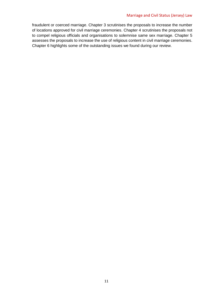#### Marriage and Civil Status (Jersey) Law

fraudulent or coerced marriage. Chapter 3 scrutinises the proposals to increase the number of locations approved for civil marriage ceremonies. Chapter 4 scrutinises the proposals not to compel religious officials and organisations to solemnise same sex marriage. Chapter 5 assesses the proposals to increase the use of religious content in civil marriage ceremonies. Chapter 6 highlights some of the outstanding issues we found during our review.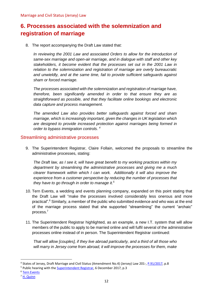# <span id="page-13-0"></span>**6. Processes associated with the solemnization and registration of marriage**

8. The report accompanying the Draft Law stated that:

*In reviewing the 2001 Law and associated Orders to allow for the introduction of same-sex marriage and open-air marriage, and in dialogue with staff and other key stakeholders, it become evident that the processes set out in the 2001 Law in relation to the solemnization and registration of marriage are overly bureaucratic and unwieldly, and at the same time, fail to provide sufficient safeguards against sham or forced marriage.*

*The processes associated with the solemnization and registration of marriage have, therefore, been significantly amended in order to that ensure they are as straightforward as possible, and that they facilitate online bookings and electronic data capture and process management.*

*The amended Law also provides better safeguards against forced and sham marriage, which is increasingly important, given the changes in UK legislation which are designed to provide increased protection against marriages being formed in order to bypass immigration controls. <sup>4</sup>*

## <span id="page-13-1"></span>Streamlining administrative processes

9. The Superintendent Registrar, Claire Follain, welcomed the proposals to streamline the administrative processes, stating:

*The Draft law, as I see it, will have great benefit to my working practices within my department by streamlining the administrative processes and giving me a much clearer framework within which I can work. Additionally it will also improve the experience from a customer perspective by reducing the number of processes that they have to go through in order to manage it.<sup>5</sup>* 

- 10. Tern Events, a wedding and events planning company, expanded on this point stating that the Draft Law will "make the processes involved considerably less onerous and more practical".<sup>6</sup> Similarly, a member of the public who submitted evidence and who was at the end of the marriage process stated that she supported "streamlining" the current "archaic" process.<sup>7</sup>
- 11. The Superintendent Registrar highlighted, as an example, a new I.T. system that will allow members of the public to apply to be married online and will fulfil several of the administrative processes online instead of in person. The Superintendent Registrar continued:

*That will allow [couples], if they live abroad particularly, and a third of all those who will marry in Jersey come from abroad, it will improve the processes for them, make* 

<sup>&</sup>lt;sup>4</sup> States of Jersey, Draft Marriage and Civil Status (Amendment No.4) (Jersey) Law 201-, [P.91/2017,](http://www.statesassembly.gov.je/assemblypropositions/2017/p.91-2017%20with%20corrig%20amdt.pdf) p.8

<sup>&</sup>lt;sup>5</sup> Public hearing with the **Superintendent Registrar**, 6 December 2017, p.3

<sup>6</sup> [Tern Events](http://www.statesassembly.gov.je/scrutinyreviewsubmissions/submission%20-%20draft%20marriage%20and%20civil%20status%20(amendment%20no.%204)%20(jersey)%20law%20-%20tern%20events%20-%203%20november%202017.pdf)

<sup>7</sup> H. [Quinn](http://www.statesassembly.gov.je/scrutinyreviewsubmissions/submission%20-%20draft%20marriage%20and%20civil%20status%20(amendment%20no.4)%20(jersey)%20law%20-%20h%20quinn%20-%203%20november%202017.pdf)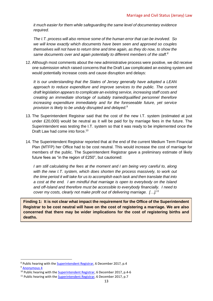*it much easier for them while safeguarding the same level of documentary evidence required.* 

*The I.T. process will also remove some of the human error that can be involved. So we will know exactly which documents have been seen and approved so couples themselves will not have to return time and time again, as they do now, to show the same documents over and again potentially to different members of the staff.<sup>8</sup>*

12. Although most comments about the new administrative process were positive, we did receive one submission which raised concerns that the Draft Law complicated an existing system and would potentially increase costs and cause disruption and delays:

*It is our understanding that the States of Jersey generally have adopted a LEAN*  approach to reduce expenditure and improve services to the public. The current *draft legislation appears to complicate an existing service, increasing staff costs and creating an immediate shortage of suitably trained/qualified personnel therefore increasing expenditure immediately and for the foreseeable future, yet service provision is likely to be unduly disrupted and delayed.<sup>9</sup>*

- 13. The Superintendent Registrar said that the cost of the new I.T. system (estimated at just under £20,000) would be neutral as it will be paid for by marriage fees in the future. The Superintendent was testing the I.T. system so that it was ready to be implemented once the Draft Law had come into force.<sup>10</sup>
- 14. The Superintendent Registrar reported that at the end of the current Medium Term Financial Plan (MTFP) her Office had to be cost neutral. This would increase the cost of marriage for members of the public. The Superintendent Registrar gave a preliminary estimate of likely future fees as "in the region of £250", but cautioned:

*I am still calculating the fees at the moment and I am being very careful to, along with the new I.T. system, which does shorten the process massively, to work out the time period it will take for us to accomplish each task and then translate that into a cost at the end. I am mindful that marriage is open to everybody on the Island and off-Island and therefore must be accessible to everybody financially. I need to cover my costs, clearly not make profit out of delivering marriage. […]. 11*

<span id="page-14-0"></span>**Finding 1: It is not clear what impact the requirement for the Office of the Superintendent Registrar to be cost neutral will have on the cost of registering a marriage. We are also concerned that there may be wider implications for the cost of registering births and deaths.** 

<sup>&</sup>lt;sup>8</sup> Public hearing with the **Superintendent Registrar**, 6 December 2017, p.4

<sup>&</sup>lt;sup>9</sup> [Anonymous 4](http://www.statesassembly.gov.je/scrutinyreviewsubmissions/submission%20-%20draft%20marriage%20and%20civil%20status%20(amendment%20no.%204)%20(jersey)%20law%20-%20anonymous%204%20-%203%20november%202017.pdf)

<sup>&</sup>lt;sup>10</sup> Public hearing with the [Superintendent Registrar,](http://www.statesassembly.gov.je/scrutinyreviewtranscripts/2017/transcript%20-%20marriage%20and%20civil%20status%20law%20-%20superintendent%20registrar%20-%206%20december%202017.pdf) 6 December 2017, p.4-6

<sup>&</sup>lt;sup>11</sup> Public hearing with the [Superintendent Registrar,](http://www.statesassembly.gov.je/scrutinyreviewtranscripts/2017/transcript%20-%20marriage%20and%20civil%20status%20law%20-%20superintendent%20registrar%20-%206%20december%202017.pdf) 6 December 2017, p.7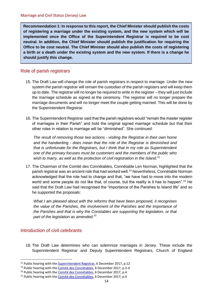<span id="page-15-2"></span>**Recommendation 1: In response to this report, the Chief Minister should publish the costs of registering a marriage under the existing system, and the new system which will be implemented once the Office of the Superintendent Registrar is required to be cost neutral. In addition, the Chief Minister should publish the justification for requiring the Office to be cost neutral. The Chief Minister should also publish the costs of registering a birth or a death under the existing system and the new system. If there is a change he should justify this change.** 

## <span id="page-15-0"></span>Role of parish registrars

- 15. The Draft Law will change the role of parish registrars in respect to marriage. Under the new system the parish registrar will remain the custodian of the parish registers and will keep them up to date. The registrar will no longer be required to write in the register – they will just include the marriage schedule as signed at the ceremony. The registrar will no longer prepare the marriage documents and will no longer meet the couple getting married. This will be done by the Superintendent Registrar.
- 16. The Superintendent Registrar said that the parish registrars would "remain the master register of marriages in their Parish" and hold the original signed marriage schedule but that their other roles in relation to marriage will be "diminished". She continued:

*The result of removing those two actions - visiting the Registrar in their own home and the handwriting - does mean that the role of the Registrar is diminished and that is unfortunate for the Registrars, but I think that in my role as Superintendent one of the primary focuses must be customers and the members of the public who wish to marry, as well as the protection of civil registration in the Island.<sup>12</sup>*

17. The Chairman of the Comité des Connétables, Connétable Len Norman, highlighted that the parish registrar was an ancient role that had worked well.<sup>13</sup> Nevertheless, Connétable Norman acknowledged that the role had to change and that, "we have had to move into the modern world and some people do not like that, of course, but the reality is it has to happen".<sup>14</sup> He said that the Draft Law had recognised the "importance of the Parishes to Island life" and so he supported the proposals:

*What I am pleased about with the reforms that have been proposed, it recognises the value of the Parishes, the involvement of the Parishes and the importance of the Parishes and that is why the Constables are supporting the legislation, or that part of the legislation as amended.<sup>15</sup>* 

## <span id="page-15-1"></span>Introduction of civil celebrants

 $\overline{a}$ 

18. The Draft Law determines who can solemnize marriages in Jersey. These include the Superintendent Registrar and Deputy Superintendent Registrars, Church of England

<sup>&</sup>lt;sup>12</sup> Public hearing with the **Superintendent Registrar**, 6 December 2017, p.12

<sup>&</sup>lt;sup>13</sup> Public hearing with the [Comité des Connétables,](http://www.statesassembly.gov.je/scrutinyreviewtranscripts/2017/transcript%20-%20marriage%20and%20civil%20status%20law%20-%20comit%c3%a9%20des%20conn%c3%a9tables%20-%206%20december%202017.pdf) 6 December 2017, p.3-4

<sup>&</sup>lt;sup>14</sup> Public hearing with the [Comité des Connétables,](http://www.statesassembly.gov.je/scrutinyreviewtranscripts/2017/transcript%20-%20marriage%20and%20civil%20status%20law%20-%20comit%c3%a9%20des%20conn%c3%a9tables%20-%206%20december%202017.pdf) 6 December 2017, p.4

<sup>&</sup>lt;sup>15</sup> Public hearing with the [Comité des Connétables,](http://www.statesassembly.gov.je/scrutinyreviewtranscripts/2017/transcript%20-%20marriage%20and%20civil%20status%20law%20-%20comit%c3%a9%20des%20conn%c3%a9tables%20-%206%20december%202017.pdf) 6 December 2017, p.4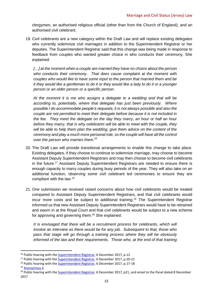clergymen, an authorised religious official (other than from the Church of England), and an authorised civil celebrant.

19. Civil celebrants are a new category within the Draft Law and will replace existing delegates who currently solemnize civil marriages in addition to the Superintendent Registrar or her deputies. The Superintendent Registrar said that this change was being made in response to feedback from couples who wanted greater choice in who conducts their ceremony. She explained:

[...] at the moment when a couple are married they have no choice about the person *who conducts their ceremony. That does cause complaint at the moment with couples who would like to have some input to the person that married them and be it they would like a gentleman to do it or they would like a lady to do it or a younger person or an older person or a specific person.* 

*At the moment it is me who assigns a delegate to a wedding and that will be according to, potentially, where that delegate has just been previously. Where possible I do accommodate people's requests, it is not always possible and also the couple are not permitted to meet their delegate before because it is not included in the fee. They meet the delegate on the day they marry, an hour or half an hour before they marry, that is why celebrants will be able to meet with the couple, they will be able to help them plan the wedding, give them advice on the content of the ceremony and play a much more personal role, so the couple will have all the control over the person who marries them.<sup>16</sup>*

- 20. The Draft Law will provide transitional arrangements to enable this change to take place. Existing delegates, if they choose to continue to solemnize marriage, may choose to become Assistant Deputy Superintendent Registrars and may then choose to become civil celebrants in the future.<sup>17</sup> Assistant Deputy Superintendent Registrars are needed to ensure there is enough capacity to marry couples during busy periods of the year. They will also take on an additional function, observing some civil celebrant led ceremonies to ensure they are compliant with the law.<sup>18</sup>
- 21. One submission we received raised concerns about how civil celebrants would be treated compared to Assistant Deputy Superintendent Registrars, and that civil celebrants would incur more costs and be subject to additional training. <sup>19</sup> The Superintendent Registrar informed us that new Assistant Deputy Superintendent Registrars would have to be retrained and sworn in at the Royal Court and that civil celebrants would be subject to a new scheme for approving and governing them.<sup>20</sup> She explained:

*It is envisaged that there will be a recruitment process for celebrants, which will involve an interview as there would be for any job. Subsequent to that, those who pass that stage will go through a training process where they will be obviously informed of the law and their requirements. Those who, at the end of that training* 

<sup>&</sup>lt;sup>16</sup> Public hearing with the **Superintendent Registrar**, 6 December 2017, p.12

<sup>&</sup>lt;sup>17</sup> Public hearing with the **Superintendent Registrar**, 6 December 2017, p.20-21

<sup>&</sup>lt;sup>18</sup> Public hearing with the **Superintendent Registrar**, 6 December 2017, p.17-18

<sup>19</sup> [Anonymous 4](http://www.statesassembly.gov.je/scrutinyreviewsubmissions/submission%20-%20draft%20marriage%20and%20civil%20status%20(amendment%20no.%204)%20(jersey)%20law%20-%20anonymous%204%20-%203%20november%202017.pdf)

<sup>&</sup>lt;sup>20</sup> Public hearing with the [Superintendent Registrar,](http://www.statesassembly.gov.je/scrutinyreviewtranscripts/2017/transcript%20-%20marriage%20and%20civil%20status%20law%20-%20superintendent%20registrar%20-%206%20december%202017.pdf) 6 December 2017, p21, and email to the Panel dated 8 December 2017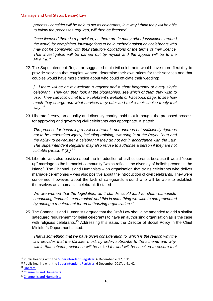*process I consider will be able to act as celebrants, in a way I think they will be able to follow the processes required, will then be licensed.* 

*Once licensed there is a provision, as there are in many other jurisdictions around the world, for complaints, investigations to be launched against any celebrants who may not be complying with their statutory obligations or the terms of their licence. That investigation will be carried out by myself and the appeal will be to the Minister.<sup>21</sup>* 

22. The Superintendent Registrar suggested that civil celebrants would have more flexibility to provide services that couples wanted, determine their own prices for their services and that couples would have more choice about who could officiate their wedding:

[...] there will be on my website a register and a short biography of every single *celebrant. They can then look at the biographies, see which of them they wish to use. They can follow that to the celebrant's website or Facebook page, to see how much they charge and what services they offer and make their choice freely that way.*  $^{22}$ 

23. Liberate Jersey, an equality and diversity charity, said that it thought the proposed process for approving and governing civil celebrants was appropriate. It stated:

*The process for becoming a civil celebrant is not onerous but sufficiently rigorous not to be undertaken lightly, including training, swearing in at the Royal Court and the ability to de-register a celebrant if they do not act in accordance with the Law. The Superintendent Registrar may also refuse to authorise a person if they are not suitable (Article 6 (3)).<sup>23</sup>*

24. Liberate was also positive about the introduction of civil celebrants because it would "open up" marriage to the humanist community "which reflects the diversity of beliefs present in the Island". The Channel Island Humanists – an organisation that trains celebrants who deliver marriage ceremonies – was also positive about the introduction of civil celebrants. They were concerned, however, about the lack of safeguards around who will be able to establish themselves as a humanist celebrant. It stated:

*We are worried that the legislation, as it stands, could lead to 'sham humanists' conducting 'humanist ceremonies' and this is something we wish to see prevented by adding a requirement for an authorizing organization.<sup>24</sup>*

25. The Channel Island Humanists argued that the Draft Law should be amended to add a similar safeguard requirement for belief celebrants to have an authorising organisation as is the case with religious celebrants.<sup>25</sup> Addressing this issue, the Director of Social Policy in the Chief Minister's Department stated:

*That is something that we have given consideration to, which is the reason why the law provides that the Minister must, by order, subscribe to the scheme and why, within that scheme, evidence will be asked for and will be checked to ensure that* 

<sup>23</sup> [Liberate](http://www.statesassembly.gov.je/scrutinyreviewsubmissions/submissions%20-%20draft%20marriage%20and%20civil%20status%20(amendment%20no.%204)%20(jersey)%20law%20-%20liberate%20-%202%20november%202017.pdf)

<sup>&</sup>lt;sup>21</sup> Public hearing with the **Superintendent Registrar**, 6 December 2017, p.11

<sup>&</sup>lt;sup>22</sup> Public hearing with the **Superintendent Registrar**, 6 December 2017, p.41-42

<sup>24</sup> [Channel Island Humanists](http://www.statesassembly.gov.je/scrutinyreviewsubmissions/submissions%20-%20draft%20marriage%20and%20civil%20status%20(amendment%20no.%204)%20(jersey)%20law%20-%20channel%20islands%20humanists%20-%2010%20november%202017.pdf)

<sup>25</sup> [Channel Island Humanists](http://www.statesassembly.gov.je/scrutinyreviewsubmissions/submissions%20-%20draft%20marriage%20and%20civil%20status%20(amendment%20no.%204)%20(jersey)%20law%20-%20channel%20islands%20humanists%20-%2010%20november%202017.pdf)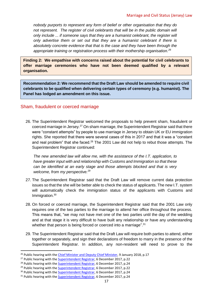*nobody purports to represent any form of belief or other organisation that they do not represent. The register of civil celebrants that will be in the public domain will only include ... if someone says that they are a humanist celebrant, the register will only advertise them or set out that they are a humanist celebrant if there is absolutely concrete evidence that that is the case and they have been through the appropriate training or registration process with their mothership organisation.<sup>26</sup>*

<span id="page-18-1"></span>**Finding 2: We empathise with concerns raised about the potential for civil celebrants to offer marriage ceremonies who have not been deemed qualified by a relevant organisation.**

<span id="page-18-2"></span>**Recommendation 2: We recommend that the Draft Law should be amended to require civil celebrants to be qualified when delivering certain types of ceremony (e.g. humanist). The Panel has lodged an amendment on this issue.**

## <span id="page-18-0"></span>Sham, fraudulent or coerced marriage

26. The Superintendent Registrar welcomed the proposals to help prevent sham, fraudulent or coerced marriage in Jersey.<sup>27</sup> On sham marriage, the Superintendent Registrar said that there were "constant attempts" by people to use marriage in Jersey to obtain UK or EU immigration rights. She reported that there were several cases of this in 2017 and that it was a "constant and real problem" that she faced.<sup>28</sup> The 2001 Law did not help to rebut those attempts. The Superintendent Registrar continued:

*The new amended law will allow me, with the assistance of the I.T. application, to have greater input with and relationship with Customs and Immigration so that these can be identified at an early stage and those attempts blocked and that is very welcome, from my perspective.<sup>29</sup>*

- 27. The Superintendent Registrar said that the Draft Law will remove current data protection issues so that the she will be better able to check the status of applicants. The new I.T. system will automatically check the immigration status of the applicants with Customs and Immigration. 30
- 28. On forced or coerced marriage, the Superintendent Registrar said that the 2001 Law only requires one of the two parties to the marriage to attend her office throughout the process. This means that, "we may not have met one of the two parties until the day of the wedding and at that stage it is very difficult to have built any relationship or have any understanding whether that person is being forced or coerced into a marriage".<sup>31</sup>
- 29. The Superintendent Registrar said that the Draft Law will require both parties to attend, either together or separately, and sign their declarations of freedom to marry in the presence of the Superintendent Registrar. In addition, any non-resident will need to prove to the

 $26$  Public hearing with the [Chief Minister and Deputy Chief Minister,](http://www.statesassembly.gov.je/scrutinyreviewtranscripts/2018/transcript%20-%20marriage%20and%20civil%20status%20law%20-%20chief%20minister%20-%209%20january%202018.pdf) 9 January 2018, p.17

<sup>&</sup>lt;sup>27</sup> Public hearing with the **Superintendent Registrar**, 6 December 2017, p.22

<sup>&</sup>lt;sup>28</sup> Public hearing with the **Superintendent Registrar**, 6 December 2017, p.24

<sup>&</sup>lt;sup>29</sup> Public hearing with the **Superintendent Registrar**, 6 December 2017, p.22

<sup>&</sup>lt;sup>30</sup> Public hearing with the [Superintendent Registrar,](http://www.statesassembly.gov.je/scrutinyreviewtranscripts/2017/transcript%20-%20marriage%20and%20civil%20status%20law%20-%20superintendent%20registrar%20-%206%20december%202017.pdf) 6 December 2017, p.24

<sup>&</sup>lt;sup>31</sup> Public hearing with the [Superintendent Registrar,](http://www.statesassembly.gov.je/scrutinyreviewtranscripts/2017/transcript%20-%20marriage%20and%20civil%20status%20law%20-%20superintendent%20registrar%20-%206%20december%202017.pdf) 6 December 2017, p.24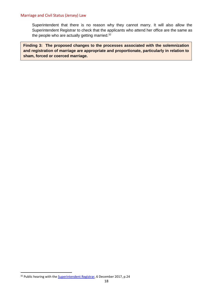#### Marriage and Civil Status (Jersey) Law

Superintendent that there is no reason why they cannot marry. It will also allow the Superintendent Registrar to check that the applicants who attend her office are the same as the people who are actually getting married.<sup>32</sup>

<span id="page-19-0"></span>**Finding 3: The proposed changes to the processes associated with the solemnization and registration of marriage are appropriate and proportionate, particularly in relation to sham, forced or coerced marriage.** 

<sup>&</sup>lt;sup>32</sup> Public hearing with the **Superintendent Registrar**, 6 December 2017, p.24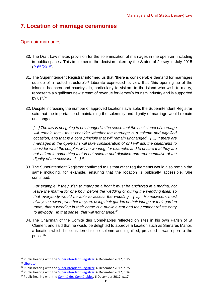# <span id="page-20-0"></span>**7. Location of marriage ceremonies**

## <span id="page-20-1"></span>Open-air marriages

- 30. The Draft Law makes provision for the solemnization of marriages in the open-air, including in public spaces. This implements the decision taken by the States of Jersey in July 2015 [\(P.65/2015\)](http://www.statesassembly.gov.je/AssemblyPropositions/2015/P.65-2015.pdf).
- 31. The Superintendent Registrar informed us that "there is considerable demand for marriages outside of a roofed structure".<sup>33</sup> Liberate expressed its view that "this opening up of the Island's beaches and countryside, particularly to visitors to the island who wish to marry, represents a significant new stream of revenue for Jersey's tourism industry and is supported by us". $34$
- 32. Despite increasing the number of approved locations available, the Superintendent Registrar said that the importance of maintaining the solemnity and dignity of marriage would remain unchanged:

*[…] The law is not going to be changed in the sense that the basic tenet of marriage will remain that I must consider whether the marriage is a solemn and dignified occasion, and that is a core principle that will remain unchanged. […] If there are marriages in the open-air I will take consideration of or I will ask the celebrants to consider what the couples will be wearing, for example, and to ensure that they are not attired in something that is not solemn and dignified and representative of the dignity of the occasion. […].<sup>35</sup>*

33. The Superintendent Registrar confirmed to us that other requirements would also remain the same including, for example, ensuring that the location is publically accessible. She continued:

*For example, if they wish to marry on a boat it must be anchored in a marina, not leave the marina for one hour before the wedding or during the wedding itself, so that everybody would be able to access the wedding. […]. Homeowners must always be aware, whether they are using their garden or their lounge or their garden room, that a wedding in their home is a public event and they cannot refuse entry to anybody. In that sense, that will not change.<sup>36</sup>*

34. The Chairman of the Comité des Connétables reflected on sites in his own Parish of St Clement and said that he would be delighted to approve a location such as Samarès Manor, a location which he considered to be solemn and dignified, provided it was open to the public.<sup>37</sup>

<sup>&</sup>lt;sup>33</sup> Public hearing with the **Superintendent Registrar**, 6 December 2017, p.25

<sup>34</sup> [Liberate](http://www.statesassembly.gov.je/scrutinyreviewsubmissions/submissions%20-%20draft%20marriage%20and%20civil%20status%20(amendment%20no.%204)%20(jersey)%20law%20-%20liberate%20-%202%20november%202017.pdf)

<sup>&</sup>lt;sup>35</sup> Public hearing with th[e Superintendent Registrar,](http://www.statesassembly.gov.je/scrutinyreviewtranscripts/2017/transcript%20-%20marriage%20and%20civil%20status%20law%20-%20superintendent%20registrar%20-%206%20december%202017.pdf) 6 December 2017, p.25

<sup>&</sup>lt;sup>36</sup> Public hearing with the [Superintendent Registrar,](http://www.statesassembly.gov.je/scrutinyreviewtranscripts/2017/transcript%20-%20marriage%20and%20civil%20status%20law%20-%20superintendent%20registrar%20-%206%20december%202017.pdf) 6 December 2017, p.26

<sup>&</sup>lt;sup>37</sup> Public hearing with the [Comité des Connétables,](http://www.statesassembly.gov.je/scrutinyreviewtranscripts/2017/transcript%20-%20marriage%20and%20civil%20status%20law%20-%20comit%c3%a9%20des%20conn%c3%a9tables%20-%206%20december%202017.pdf) 6 December 2017, p.17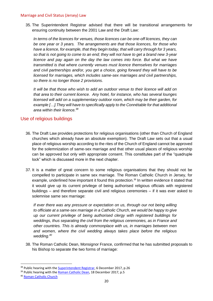#### Marriage and Civil Status (Jersey) Law

35. The Superintendent Registrar advised that there will be transitional arrangements for ensuring continuity between the 2001 Law and the Draft Law:

*In terms of the licences for venues, those licences can be one-off licences, they can be one year or 3 years. The arrangements are that those licences, for those who have a licence, for example, that they begin today, that will carry through for 3 years, so that is not going to come to an end; they will not have to get a brand new 3-year licence and pay again on the day the law comes into force. But what we have transmitted is that where currently venues must licence themselves for marriages and civil partnerships and/or, you get a choice, going forward they will have to be licensed for marriages, which includes same-sex marriages and civil partnerships, so there is no longer those 2 provisions.* 

*It will be that those who wish to add an outdoor venue to their licence will add on that area to their current licence. Any hotel, for instance, who has several lounges licensed will add on a supplementary outdoor room, which may be their garden, for example […].They will have to specifically apply to the Connétable for that additional area within their licence.<sup>38</sup>*

## <span id="page-21-0"></span>Use of religious buildings

- 36. The Draft Law provides protections for religious organisations (other than Church of England churches which already have an absolute exemption). The Draft Law sets out that a usual place of religious worship according to the rites of the Church of England cannot be approved for the solemnization of same-sex marriage and that other usual places of religious worship can be approved but only with appropriate consent. This constitutes part of the "quadruple lock" which is discussed more in the next chapter.
- 37. It is a matter of great concern to some religious organisations that they should not be compelled to participate in same sex marriage. The Roman Catholic Church in Jersey, for example, underlined how important it found this protection.<sup>39</sup> In written evidence it stated that it would give up its current privilege of being authorised religious officials with registered buildings – and therefore separate civil and religious ceremonies – if it was ever asked to solemnise same sex marriage:

*If ever there was any pressure or expectation on us, through our not being willing to officiate at a same-sex marriage in a Catholic Church, we would be happy to give up our current privilege of being authorised clergy with registered buildings for weddings, thus separating the civil from the religious ceremonies, as in France and other countries. This is already commonplace with us, in marriages between men and women, where the civil wedding always takes place before the religious wedding.<sup>40</sup>*

38. The Roman Catholic Dean, Monsignor France, confirmed that he has submitted proposals to his Bishop to separate the two forms of marriage:

<sup>&</sup>lt;sup>38</sup> Public hearing with the **Superintendent Registrar**, 6 December 2017, p.26

<sup>&</sup>lt;sup>39</sup> Public hearing with the [Roman Catholic Dean,](http://www.statesassembly.gov.je/scrutinyreviewtranscripts/2017/transcript%20-%20marriage%20and%20civil%20status%20law%20-%20roman%20catholic%20dean%20-%2018%20december%202017.pdf) 18 December 2017, p.5

<sup>40</sup> [Roman Catholic Church](http://www.statesassembly.gov.je/scrutinyreviewsubmissions/submission%20-%20draft%20marriage%20and%20civil%20status%20(amendment%20no.4)%20(jersey)%20law%20-%20catholic%20church%20-%203%20november%202017.pdf)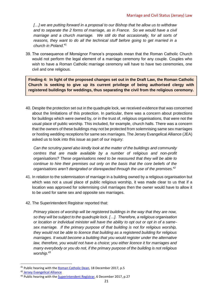*[…] we are putting forward in a proposal to our Bishop that he allow us to withdraw and to separate the 2 forms of marriage, as in France. So we would have a civil marriage and a church marriage. We still do that occasionally, for all sorts of reasons, they want to do all the technical stuff before going to get married in a church in Poland.<sup>41</sup>*

39. The consequence of Monsignor France's proposals mean that the Roman Catholic Church would not perform the legal element of a marriage ceremony for any couple. Couples who wish to have a Roman Catholic marriage ceremony will have to have two ceremonies, one civil and one religious.

<span id="page-22-0"></span>**Finding 4: In light of the proposed changes set out in the Draft Law, the Roman Catholic Church is seeking to give up its current privilege of being authorised clergy with registered buildings for weddings, thus separating the civil from the religious ceremony.** 

40. Despite the protection set out in the quadruple lock, we received evidence that was concerned about the limitations of this protection. In particular, there was a concern about protections for buildings which were owned by, or in the trust of, religious organisations, that were not the usual place of public worship. This included, for example, church halls. There was a concern that the owners of these buildings may not be protected from solemnising same sex marriages or hosting wedding receptions for same sex marriages. The Jersey Evangelical Alliance (JEA) asked us to look into this issue as part of our inquiry:

*Can the scrutiny panel also kindly look at the matter of the buildings and community centres that are made available by a number of religious and non-profit organisations? These organisations need to be reassured that they will be able to continue to hire their premises out only on the basis that the core beliefs of the organisations aren't denigrated or disrespected through the use of the premises.<sup>42</sup>*

- 41. In relation to the solemnisation of marriage in a building owned by a religious organisation but which was not a usual place of public religious worship, it was made clear to us that if a location was approved for solemnising civil marriages then the owner would have to allow it to be used for same sex and opposite sex marriages.
- 42. The Superintendent Registrar reported that:

*Primary places of worship will be registered buildings in the way that they are now, so they will be subject to the quadruple lock. […]. Therefore, a religious organisation or location or individual minister will have the ability to opt out or opt in of a samesex marriage. If the primary purpose of that building is not for religious worship, they would not be able to licence that building as a registered building for religious marriages. It would become a building that you would register under the alternative law, therefore, you would not have a choice; you either licence it for marriages and marry everybody or you do not, if the primary purpose of the building is not religious worship.<sup>43</sup>*

<sup>&</sup>lt;sup>41</sup> Public hearing with the [Roman Catholic Dean,](http://www.statesassembly.gov.je/scrutinyreviewtranscripts/2017/transcript%20-%20marriage%20and%20civil%20status%20law%20-%20roman%20catholic%20dean%20-%2018%20december%202017.pdf) 18 December 2017, p.5

<sup>42</sup> [Jersey Evangelical Alliance](http://www.statesassembly.gov.je/scrutinyreviewsubmissions/submissions%20-%20draft%20marriage%20and%20civil%20status%20(amendment%20no.%204)%20(jersey)%20law%20-%20jersey%20evangelical%20alliance%20-3%20november%202017.pdf)

<sup>&</sup>lt;sup>43</sup> Public hearing with the [Superintendent Registrar,](http://www.statesassembly.gov.je/scrutinyreviewtranscripts/2017/transcript%20-%20marriage%20and%20civil%20status%20law%20-%20superintendent%20registrar%20-%206%20december%202017.pdf) 6 December 2017, p.27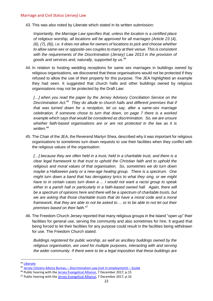43. This was also noted by Liberate which stated in its written submission:

*Importantly, the Marriage Law specifies that, unless the location is a certified place of religious worship, all locations will be approved for all marriages (Article 23 (4), (6), (7), (8)), i.e. it does not allow for owners of locations to pick and choose whether to allow same-sex or opposite-sex couples to marry at their venue. This is consistent*  with the requirements of the Discrimination (Jersey) Law 2013 in the provision of *goods and services and, naturally, supported by us.<sup>44</sup>*

44. In relation to hosting wedding receptions for same sex marriages in buildings owned by religious organisations, we discovered that these organisations would not be protected if they refused to allow the use of their property for this purpose. The JEA highlighted an example they had seen. It suggested that church halls and other buildings owned by religious organisations may not be protected by the Draft Law:

*[…] when you read the paper by the Jersey Advisory Conciliation Service on the Discrimination Act.<sup>45</sup> They do allude to church halls and different premises that if that was turned down for a reception, let us say, after a same-sex marriage celebration, if someone chose to turn that down, on page 7 there is a worked example which says that would be considered as discrimination. So, we are unsure whether faith-based organisations are or are not protected in the law as it is written.<sup>46</sup>*

45. The Chair of the JEA, the Reverend Martyn Shea, described why it was important for religious organisations to sometimes turn down requests to use their facilities when they conflict with the religious values of the organisation:

*[…] because they are often held in a trust, held in a charitable trust, and there is a clear legal framework to that trust to uphold the Christian faith and to uphold the religious and moral values of that organisation. So, sometimes we do turn down maybe a Halloween party or a new-age healing group. There is a spectrum. One might turn down a band that has derogatory lyrics to what they sing, or we might have to in certain cases turn down a ... I would not want a racist group to speak*  either in a parish hall or particularly in a faith-based owned hall. Again, there will *be a spectrum of opinions here and there will be a spectrum of charitable trusts, but we are asking that those charitable trusts that do have a moral code and a moral framework, that they are able to not be asked to ... or to be able to not let out their premises based on their faith.<sup>47</sup>*

46. The Freedom Church Jersey reported that many religious groups in the Island "open up" their facilities for general use, serving the community and also sometimes for hire. It argued that being forced to let their facilities for any purpose could result in the facilities being withdrawn for use. The Freedom Church stated:

*Buildings registered for public worship, as well as ancillary buildings owned by the religious organisation, are used for multiple purposes, interacting with and serving the wider community. If there were to be a legal imposition that these buildings are* 

<sup>44</sup> [Liberate](http://www.statesassembly.gov.je/scrutinyreviewsubmissions/submissions%20-%20draft%20marriage%20and%20civil%20status%20(amendment%20no.%204)%20(jersey)%20law%20-%20liberate%20-%202%20november%202017.pdf)

 $45$  Jersey Citizens Advice Bureau – [Discrimination Law \(not in employment\)](https://www.jacs.org.je/media/94853/non-employment-discrimination.pdf) – Guide

<sup>&</sup>lt;sup>46</sup> Public hearing with the [Jersey Evangelical Alliance,](http://www.statesassembly.gov.je/scrutinyreviewtranscripts/2017/transcript%20-%20marriage%20and%20civil%20status%20law%20-%20jersey%20evangelical%20alliance%20-%207%20december%202017.pdf) 7 December 2017, p.15

<sup>&</sup>lt;sup>47</sup> Public hearing with the [Jersey Evangelical Alliance,](http://www.statesassembly.gov.je/scrutinyreviewtranscripts/2017/transcript%20-%20marriage%20and%20civil%20status%20law%20-%20jersey%20evangelical%20alliance%20-%207%20december%202017.pdf) 7 December 2017, p.16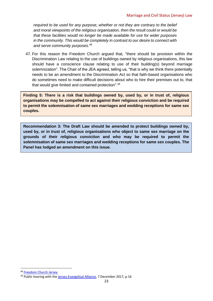*required to be used for any purpose, whether or not they are contrary to the belief and moral viewpoints of the religious organisation, then the result could or would be that these facilities would no longer be made available for use for wider purposes in the community. This would be completely in contrast to our desire to connect with and serve community purposes.<sup>48</sup>*

47. For this reason the Freedom Church argued that, "there should be provision within the Discrimination Law relating to the use of buildings owned by religious organisations, this law should have a conscience clause relating to use of their building(s) beyond marriage solemnization". The Chair of the JEA agreed, telling us, "that is why we think there potentially needs to be an amendment to the Discrimination Act so that faith-based organisations who do sometimes need to make difficult decisions about who to hire their premises out to, that that would give limited and contained protection".<sup>49</sup>

<span id="page-24-0"></span>**Finding 5: There is a risk that buildings owned by, used by, or in trust of, religious organisations may be compelled to act against their religious conviction and be required to permit the solemnisation of same sex marriages and wedding receptions for same sex couples.** 

<span id="page-24-1"></span>**Recommendation 3: The Draft Law should be amended to protect buildings owned by, used by, or in trust of, religious organisations who object to same sex marriage on the grounds of their religious conviction and who may be required to permit the solemnisation of same sex marriages and wedding receptions for same sex couples. The Panel has lodged an amendment on this issue.**

<sup>48</sup> [Freedom Church Jersey](http://www.statesassembly.gov.je/scrutinyreviewsubmissions/submissions%20-%20draft%20marriage%20and%20civil%20status%20(amendment%20no.%204)%20(jersey)%20law%20-%20freedom%20church%20-%206%20november%202017.pdf)

<sup>&</sup>lt;sup>49</sup> Public hearing with the [Jersey Evangelical Alliance,](http://www.statesassembly.gov.je/scrutinyreviewtranscripts/2017/transcript%20-%20marriage%20and%20civil%20status%20law%20-%20jersey%20evangelical%20alliance%20-%207%20december%202017.pdf) 7 December 2017, p.16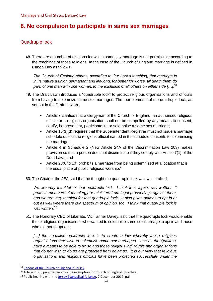# <span id="page-25-0"></span>**8. No compulsion to participate in same sex marriages**

## <span id="page-25-1"></span>Quadruple lock

48. There are a number of religions for which same sex marriage is not permissible according to the teachings of those religions. In the case of the Church of England marriage is defined in Canon Law as follows:

*The Church of England affirms, according to Our Lord's teaching, that marriage is in its nature a union permanent and life-long, for better for worse, till death them do part, of one man with one woman, to the exclusion of all others on either side […]. 50*

- 49. The Draft Law introduces a "quadruple lock" to protect religious organisations and officials from having to solemnize same sex marriages. The four elements of the quadruple lock, as set out in the Draft Law are:
	- Article 7 clarifies that a clergyman of the Church of England, an authorised religious official or a religious organisation shall not be compelled by any means to consent, certify, be present at, participate in, or solemnise a same sex marriage;
	- Article 15(3)(d) requires that the Superintendent Registrar must not issue a marriage schedule unless the religious official named in the schedule consents to solemnising the marriage;
	- Article 4 in Schedule 2 (New Article 24A of the Discrimination Law 203) makes provision so that a person does not discriminate if they comply with Article 7(1) of the Draft Law.; and
	- Article 23(6 to 10) prohibits a marriage from being solemnised at a location that is the usual place of public religious worship.<sup>51</sup>
- 50. The Chair of the JEA said that he thought the quadruple lock was well drafted:

*We are very thankful for that quadruple lock. I think it is, again, well written. It protects members of the clergy or ministers from legal proceedings against them, and we are very thankful for that quadruple lock. It also gives options to opt in or out as well where there is a spectrum of opinion, too. I think that quadruple lock is well written.<sup>52</sup>* 

51. The Honorary CEO of Liberate, Vic Tanner Davey, said that the quadruple lock would enable those religious organisations who wanted to solemnize same sex marriage to opt in and those who did not to opt out:

*[…] the so-called quadruple lock is to create a law whereby those religious organisations that wish to solemnise same-sex marriages, such as the Quakers, have a means to be able to do so and those religious individuals and organisations that do not wish to do so are protected from doing so. It is our view that religious organisations and religious officials have been protected successfully under the* 

<sup>50</sup> [Canons of the Church of England in Jersey](https://www.jerseylaw.je/laws/revised/PDFs/09.050.pdf)

 $51$  Article 23 (6) provides an absolute exemption for Church of England churches.

<sup>&</sup>lt;sup>52</sup> Public hearing with the [Jersey Evangelical Alliance,](http://www.statesassembly.gov.je/scrutinyreviewtranscripts/2017/transcript%20-%20marriage%20and%20civil%20status%20law%20-%20jersey%20evangelical%20alliance%20-%207%20december%202017.pdf) 7 December 2017, p.6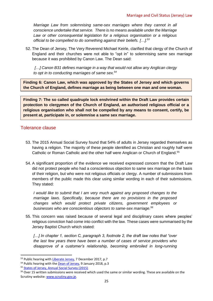*Marriage Law from solemnising same-sex marriages where they cannot in all conscience undertake that service. There is no means available under the Marriage Law or other consequential legislation for a religious organisation or a religious official to be compelled to do something against their beliefs. […].<sup>53</sup>*

52. The Dean of Jersey, The Very Reverend Michael Keirle, clarified that clergy of the Church of England and their churches were not able to "opt in" to solemnising same sex marriage because it was prohibited by Canon Law. The Dean said:

*[…] Canon B31 defines marriage in a way that would not allow any Anglican clergy to opt in to conducting marriages of same sex.<sup>54</sup>* 

<span id="page-26-1"></span>**Finding 6: Canon Law, which was approved by the States of Jersey and which governs the Church of England, defines marriage as being between one man and one woman.** 

<span id="page-26-2"></span>**Finding 7: The so called quadruple lock enshrined within the Draft Law provides certain protection to clergymen of the Church of England, an authorised religious official or a religious organisation who shall not be compelled by any means to consent, certify, be present at, participate in, or solemnise a same sex marriage.** 

## <span id="page-26-0"></span>Tolerance clause

- 53. The 2015 Annual Social Survey found that 54% of adults in Jersey regarded themselves as having a religion. The majority of these people identified as Christian and roughly half were Catholic or Roman Catholic and the other half were Anglican or Church of England.<sup>55</sup>
- 54. A significant proportion of the evidence we received expressed concern that the Draft Law did not protect people who had a conscientious objection to same sex marriage on the basis of their religion, but who were not religious officials or clergy. A number of submissions from members of the public made this clear using similar wording in each of their submissions. They stated:

*I would like to submit that I am very much against any proposed changes to the marriage laws. Specifically, because there are no provisions in the proposed changes which would protect private citizens, government employees or businesses who are conscientious objectors to same-sex marriage.<sup>56</sup>*

55. This concern was raised because of several legal and disciplinary cases where peoples' religious conviction had come into conflict with the law. These cases were summarised by the Jersey Baptist Church which stated:

[...] In chapter 1, section C, paragraph 3, footnote 2, the draft law notes that "over" *the last few years there have been a number of cases of service providers who disapprove of a customer's relationship, becoming embroiled in long-running* 

<sup>53</sup> Public hearing wit[h Liberate Jersey,](http://www.statesassembly.gov.je/scrutinyreviewtranscripts/2017/transcript%20-%20marriage%20and%20civil%20status%20law%20-%20liberate%20jersey%20-%207%20december%202017.pdf) 7 December 2017, p.7

<sup>&</sup>lt;sup>54</sup> Public hearing with the **Dean of Jersey**, 9 January 2018, p.3

<sup>55</sup> [States of Jersey, Annual Social Survey \(2015\)](https://www.gov.je/SiteCollectionDocuments/Government%20and%20administration/R%20JASS%202015%2020151202%20SU.pdf)

<sup>&</sup>lt;sup>56</sup> Over 15 written submissions were received which used the same or similar wording. These are available on the Scrutiny website[: www.scrutiny.gov.je.](http://www.scrutiny.gov.je/)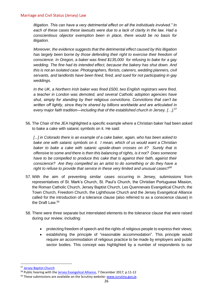#### Marriage and Civil Status (Jersey) Law

*litigation. This can have a very detrimental effect on all the individuals involved." In each of these cases these lawsuits were due to a lack of clarity in the law. Had a conscientious objector exemption been in place, there would be no basis for litigation.* 

*Moreover, the evidence suggests that the detrimental effect caused by this litigation has largely been borne by those defending their right to exercise their freedom of conscience. In Oregon, a baker was fined \$135,000 for refusing to bake for a gay wedding. The fine had its intended effect, because the bakery has shut down. And this is not an isolated case. Photographers, florists, caterers, wedding planners, civil servants, and landlords have been fined, fired, and sued for not participating in gay weddings.* 

*In the UK, a Northern Irish baker was fined £500, two English registrars were fired, a teacher in London was demoted, and several Catholic adoption agencies have shut, simply for standing by their religious convictions. Convictions that can't be written off lightly, since they're shared by billions worldwide and are articulated in every major faith tradition—including that of the established church in Jersey. […].<sup>57</sup>*

56. The Chair of the JEA highlighted a specific example where a Christian baker had been asked to bake a cake with satanic symbols on it. He said:

*[...] in Colorado there is an example of a cake baker, again, who has been asked to bake one with satanic symbols on it. I mean, which of us would want a Christian baker to bake a cake with satanic upside-down crosses on it? Surely that is offensive to some and there is then this balancing of rights, is it not? Does someone have to be compelled to produce this cake that is against their faith, against their conscience? Are they compelled as an artist to do something or do they have a right to refuse to provide that service in these very limited and unusual cases?<sup>58</sup>*

- 57. With the aim of preventing similar cases occurring in Jersey, submissions from representatives of St. Mark's Church, St. Paul's Church, the Christian Portuguese Mission, the Roman Catholic Church, Jersey Baptist Church, Les Quennevais Evangelical Church, the Town Church, Freedom Church, the Lighthouse Church and the Jersey Evangelical Alliance called for the introduction of a tolerance clause (also referred to as a conscience clause) in the Draft Law. 59
- 58. There were three separate but interrelated elements to the tolerance clause that were raised during our review, including:
	- protecting freedom of speech and the rights of religious people to express their views;
	- establishing the principle of "reasonable accommodation". This principle would require an accommodation of religious practice to be made by employers and public sector bodies. This concept was highlighted by a number of respondents to our

<sup>57</sup> [Jersey Baptist Church](http://www.statesassembly.gov.je/scrutinyreviewsubmissions/submission%20-%20draft%20marriage%20and%20civil%20status%20(amendment%20no.4)%20(jersey)%20law%20-%20jersey%20baptist%20church%20-%203%20november%202017.pdf)

<sup>&</sup>lt;sup>58</sup> Public hearing with the **Jersey Evangelical Alliance**, 7 December 2017, p.11-12

 $59$  These submissions are available on the Scrutiny website[: www.scrutiny.gov.je.](http://www.scrutiny.gov.je/)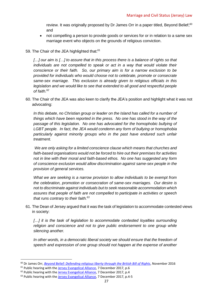review. It was originally proposed by Dr James Orr in a paper titled, Beyond Belief;<sup>60</sup> and

- not compelling a person to provide goods or services for or in relation to a same sex marriage event who objects on the grounds of religious conviction.
- 59. The Chair of the JEA highlighted that:<sup>61</sup>

*[…] our aim is […] to assure that in this process there is a balance of rights so that individuals are not compelled to speak or act in a way that would violate their conscience or their faith. So, our primary aim is for a narrow exclusion to be provided for individuals who would choose not to celebrate, promote or consecrate same-sex marriage. This exclusion is already given to religious officials in this legislation and we would like to see that extended to all good and respectful people of faith.<sup>62</sup>* 

60. The Chair of the JEA was also keen to clarify the JEA's position and highlight what it was not advocating:

*In this debate, no Christian group or leader on the Island has called for a number of things which have been reported in the press. No one has stood in the way of the passage of this legislation. No one has advocated for the homophobic bullying of LGBT people. In fact, the JEA would condemn any form of bullying or homophobia particularly against minority groups who in the past have endured such unfair treatment.* 

*We are only asking for a limited conscience clause which means that churches and faith-based organisations would not be forced to hire out their premises for activities not in line with their moral and faith-based ethos. No one has suggested any form of conscience exclusion would allow discrimination against same-sex people in the provision of general services.* 

*What we are seeking is a narrow provision to allow individuals to be exempt from the celebration, promotion or consecration of same-sex marriages. Our desire is not to discriminate against individuals but to seek reasonable accommodation which assures that people of faith are not compelled to participate in activities or speech that runs contrary to their faith.<sup>63</sup>*

61. The Dean of Jersey argued that it was the task of legislation to accommodate contested views in society:

[...] it is the task of legislation to accommodate contested loyalties surrounding *religion and conscience and not to give public endorsement to one group while silencing another.* 

*In other words, in a democratic liberal society we should ensure that the freedom of speech and expression of one group should not happen at the expense of another* 

<sup>60</sup> Dr James Orr, *[Beyond Belief: Defending religious liberty through the British Bill of Rights](http://www.respublica.org.uk/wp-content/uploads/2016/11/Religious-Liberty-Digital.pdf)*, November 2016

 $61$  Public hearing with the [Jersey Evangelical Alliance,](http://www.statesassembly.gov.je/scrutinyreviewtranscripts/2017/transcript%20-%20marriage%20and%20civil%20status%20law%20-%20jersey%20evangelical%20alliance%20-%207%20december%202017.pdf) 7 December 2017, p.6

<sup>&</sup>lt;sup>62</sup> Public hearing with th[e Jersey Evangelical Alliance,](http://www.statesassembly.gov.je/scrutinyreviewtranscripts/2017/transcript%20-%20marriage%20and%20civil%20status%20law%20-%20jersey%20evangelical%20alliance%20-%207%20december%202017.pdf) 7 December 2017, p.4

<sup>&</sup>lt;sup>63</sup> Public hearing with the [Jersey Evangelical Alliance,](http://www.statesassembly.gov.je/scrutinyreviewtranscripts/2017/transcript%20-%20marriage%20and%20civil%20status%20law%20-%20jersey%20evangelical%20alliance%20-%207%20december%202017.pdf) 7 December 2017, p.4-5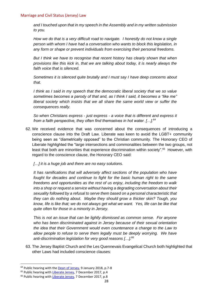*and I touched upon that in my speech in the Assembly and in my written submission to you.* 

*How we do that is a very difficult road to navigate. I honestly do not know a single person with whom I have had a conversation who wants to block this legislation, in any form or shape or prevent individuals from exercising their personal freedoms.* 

*But I think we have to recognise that recent history has clearly shown that when provisions like this kick in, that we are talking about today, it is nearly always the faith voice that is silenced.* 

*Sometimes it is silenced quite brutally and I must say I have deep concerns about that.* 

*I think as I said in my speech that the democratic liberal society that we so value sometimes becomes a parody of that and, as I think I said, it becomes a "like me" liberal society which insists that we all share the same world view or suffer the consequences really.* 

*So when Christians express - just express - a voice that is different and express it from a faith perspective, they often find themselves in hot water. […].<sup>64</sup>*

62. We received evidence that was concerned about the consequences of introducing a conscience clause into the Draft Law. Liberate was keen to avoid the LGBT+ community being seen as "diametrically opposed" to the Christian community. The Honorary CEO of Liberate highlighted the "large intersections and commonalities between the two groups, not least that both are minorities that experience discrimination within society".<sup>65</sup> However, with regard to the conscience clause, the Honorary CEO said:

*[…] it is a huge job and there are no easy solutions.* 

*It has ramifications that will adversely affect sections of the population who have fought for decades and continue to fight for the basic human right to the same freedoms and opportunities as the rest of us enjoy, including the freedom to walk into a shop or request a service without having a degrading conversation about their sexuality followed by a refusal to serve them based on a personal characteristic that they can do nothing about. Maybe they should grow a thicker skin? Tough, you know, life is like that; we do not always get what we want. Yes, life can be like that quite often for those in a minority in Jersey.* 

*This is not an issue that can be lightly dismissed as common sense. For anyone who has been discriminated against in Jersey because of their sexual orientation the idea that their Government would even countenance a change to the Law to*  allow people to refuse to serve them legally must be deeply worrying. We have *anti-discrimination legislation for very good reasons […].<sup>66</sup>*

63. The Jersey Baptist Church and the Les Quennevais Evangelical Church both highlighted that other Laws had included conscience clauses:

<sup>&</sup>lt;sup>64</sup> Public hearing with the **Dean of Jersey**, 9 January 2018, p.7-8

<sup>&</sup>lt;sup>65</sup> Public hearing wit[h Liberate Jersey,](http://www.statesassembly.gov.je/scrutinyreviewtranscripts/2017/transcript%20-%20marriage%20and%20civil%20status%20law%20-%20liberate%20jersey%20-%207%20december%202017.pdf) 7 December 2017, p.4

<sup>&</sup>lt;sup>66</sup> Public hearing wit[h Liberate Jersey,](http://www.statesassembly.gov.je/scrutinyreviewtranscripts/2017/transcript%20-%20marriage%20and%20civil%20status%20law%20-%20liberate%20jersey%20-%207%20december%202017.pdf) 7 December 2017, p.8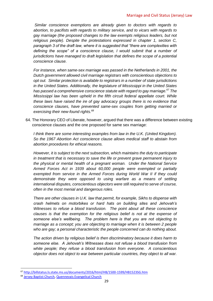*Similar conscience exemptions are already given to doctors with regards to abortion, to pacifists with regards to military service, and to vicars with regards to gay marriage (the proposed changes to the law exempts religious leaders, but not religious people). Despite the protestations expressed in chapter 1, section C, paragraph 3 of the draft law, where it is suggested that "there are complexities with defining the scope" of a conscience clause, I would submit that a number of jurisdictions have managed to draft legislation that defines the scope of a potential conscience clause.* 

*For instance, when same-sex marriage was passed in the Netherlands in 2001, the Dutch government allowed civil marriage registrars with conscientious objections to opt out. Similar protection is available to registrars in a number of state jurisdictions in the United States. Additionally, the legislature of Mississippi in the United States has passed a comprehensive conscience statute with regard to gay marriage.<sup>67</sup> The Mississippi law has been upheld in the fifth circuit federal appellate court. While these laws have raised the ire of gay advocacy groups there is no evidence that conscience clauses, have prevented same-sex couples from getting married or exercising their new-found rights.<sup>68</sup>*

64. The Honorary CEO of Liberate, however, argued that there was a difference between existing conscience clauses and the one proposed for same sex marriage:

*I think there are some interesting examples from law in the U.K. (United Kingdom). So the 1967 Abortion Act conscience clause allows medical staff to abstain from abortion procedures for ethical reasons.* 

*However, it is subject to the next subsection, which maintains the duty to participate in treatment that is necessary to save the life or prevent grave permanent injury to the physical or mental health of a pregnant woman. Under the National Service Armed Forces Act in 1939 about 60,000 people were exempted or partially exempted from service in the Armed Forces during World War II if they could demonstrate they were opposed to using warfare as a means of settling international disputes, conscientious objectors were still required to serve of course, often in the most menial and dangerous roles.* 

*There are other clauses in U.K. law that permit, for example, Sikhs to dispense with crash helmets on motorbikes or hard hats on building sites and Jehovah's Witnesses to refuse a blood transfusion. The point about all these conscience clauses is that the exemption for the religious belief is not at the expense of someone else's wellbeing. The problem here is that you are not objecting to marriage as a concept; you are objecting to marriage when it is between 2 people who are gay; a personal characteristic the people concerned can do nothing about.* 

*The action driven by religious belief is then discriminatory because it does harm to someone else. A Jehovah's Witnesses does not refuse a blood transfusion from white people; they refuse a blood transfusion from everyone. A conscientious objector does not object to war between particular countries, they object to all war.* 

<sup>67</sup> <http://billstatus.ls.state.ms.us/documents/2016/html/HB/1500-1599/HB1523SG.htm>

<sup>68</sup> [Jersey Baptist Church,](http://www.statesassembly.gov.je/scrutinyreviewsubmissions/submission%20-%20draft%20marriage%20and%20civil%20status%20(amendment%20no.4)%20(jersey)%20law%20-%20jersey%20baptist%20church%20-%203%20november%202017.pdf) [Quennevais Evangelical Church](http://www.statesassembly.gov.je/scrutinyreviewsubmissions/submission%20-%20draft%20marriage%20and%20civil%20status%20(amendment%20no.%204)%20(jersey)%20law%20-%20quennevais%20evangelical%20church%20-%202%20november%2017.pdf)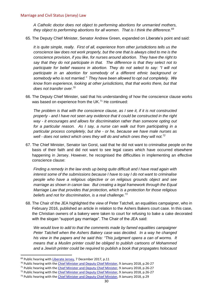*A Catholic doctor does not object to performing abortions for unmarried mothers, they object to performing abortions for all women. That is I think the difference.<sup>69</sup>*

65. The Deputy Chief Minister, Senator Andrew Green, expanded on Liberate's point and said:

*It is quite simple, really. First of all, experience from other jurisdictions tells us the conscience law does not work properly, but the one that is always cited to me is the conscience provision, if you like, for nurses around abortion. They have the right to say that they do not participate in that. The difference is that they select not to participate for belief reasons in abortion. They do not select to say: "I will not*  participate in an abortion for somebody of a different ethnic background or *somebody who is not married." They have been allowed to opt out completely. We know from experience, looking at other jurisdictions, that that works there, but that does not transfer over.<sup>70</sup>*

66. The Deputy Chief Minister, said that his understanding of how the conscience clause works was based on experience from the UK.<sup>71</sup> He continued:

*The problem is that with the conscience clause, as I see it, if it is not constructed properly - and I have not seen any evidence that it could be constructed in the right way - it encourages and allows for discrimination rather than someone opting out for a particular reason. As I say, a nurse can walk out from participating in a particular process completely, but she - or he, because we have male nurses as well - does not select which ones they will do and which ones they will not.<sup>72</sup>*

67. The Chief Minister, Senator Ian Gorst, said that he did not want to criminalise people on the basis of their faith and did not want to see legal cases which have occurred elsewhere happening in Jersey. However, he recognised the difficulties in implementing an effective conscience clause:

*Finding a remedy in the law ends up being quite difficult and I have read again with interest some of the submissions because I have to say I do not want to criminalise people who have a religious objective or on religious grounds object and see marriage as shown in canon law. But creating a legal framework through the Equal Marriage Law that provides that protection, which is a protection for those religious beliefs and not for discrimination, is a real challenge.<sup>73</sup>*

68. The Chair of the JEA highlighted the view of Peter Tatchell, an equalities campaigner, who in February 2016, published an article in relation to the Ashers Bakers court case. In this case, the Christian owners of a bakery were taken to court for refusing to bake a cake decorated with the slogan "support gay marriage". The Chair of the JEA said:

*We would love to add to that the comments made by famed equalities campaigner Peter Tatchell when the Ashers Bakery case was decided. In a way he changed his view in the papers and he said this: "This judgment opens a can of worms. It means that a Muslim printer could be obliged to publish cartoons of Mohammed and a Jewish printer could be required to publish a book that propagates holocaust* 

- <sup>71</sup> Public hearing with the *Chief Minister and Deputy Chief Minister*, 9 January 2018, p.26-27
- <sup>72</sup> Public hearing with the [Chief Minister and Deputy Chief Minister,](http://www.statesassembly.gov.je/scrutinyreviewtranscripts/2018/transcript%20-%20marriage%20and%20civil%20status%20law%20-%20chief%20minister%20-%209%20january%202018.pdf) 9 January 2018, p.26-27

<sup>&</sup>lt;sup>69</sup> Public hearing wit[h Liberate Jersey,](http://www.statesassembly.gov.je/scrutinyreviewtranscripts/2017/transcript%20-%20marriage%20and%20civil%20status%20law%20-%20liberate%20jersey%20-%207%20december%202017.pdf) 7 December 2017, p.11

<sup>&</sup>lt;sup>70</sup> Public hearing with the *Chief Minister and Deputy Chief Minister*, 9 January 2018, p.26-27

 $73$  Public hearing with the [Chief Minister and Deputy Chief Minister,](http://www.statesassembly.gov.je/scrutinyreviewtranscripts/2018/transcript%20-%20marriage%20and%20civil%20status%20law%20-%20chief%20minister%20-%209%20january%202018.pdf) 9 January 2018, p.29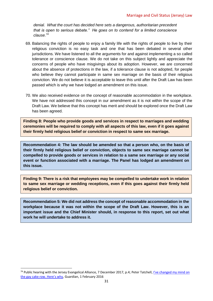*denial. What the court has decided here sets a dangerous, authoritarian precedent that is open to serious debate." He goes on to contend for a limited conscience clause.<sup>74</sup>*

- 69. Balancing the rights of people to enjoy a family life with the rights of people to live by their religious conviction is no easy task and one that has been debated in several other jurisdictions. We have listened to all the arguments for and against implementing a so called tolerance or conscience clause. We do not take on this subject lightly and appreciate the concerns of people who have misgivings about its adoption. However, we are concerned about the absence of protections in the law, if a tolerance clause is not adopted, for people who believe they cannot participate in same sex marriage on the basis of their religious conviction. We do not believe it is acceptable to leave this until after the Draft Law has been passed which is why we have lodged an amendment on this issue.
- 70. We also received evidence on the concept of reasonable accommodation in the workplace. We have not addressed this concept in our amendment as it is not within the scope of the Draft Law. We believe that this concept has merit and should be explored once the Draft Law has been agreed.

<span id="page-32-0"></span>**Finding 8: People who provide goods and services in respect to marriages and wedding ceremonies will be required to comply with all aspects of this law, even if it goes against their firmly held religious belief or conviction in respect to same sex marriage.** 

<span id="page-32-2"></span>**Recommendation 4: The law should be amended so that a person who, on the basis of their firmly held religious belief or conviction, objects to same sex marriage cannot be compelled to provide goods or services in relation to a same sex marriage or any social event or function associated with a marriage. The Panel has lodged an amendment on this issue.**

<span id="page-32-1"></span>**Finding 9: There is a risk that employees may be compelled to undertake work in relation to same sex marriage or wedding receptions, even if this goes against their firmly held religious belief or conviction.** 

<span id="page-32-3"></span>**Recommendation 5: We did not address the concept of reasonable accommodation in the workplace because it was not within the scope of the Draft Law. However, this is an important issue and the Chief Minister should, in response to this report, set out what work he will undertake to address it.** 

 $74$  Public hearing with the Jersey Evangelical Alliance, 7 December 2017, p.4; Peter Tatchell, I've changed my mind on [the gay cake row. Here's why](https://www.theguardian.com/commentisfree/2016/feb/01/gay-cake-row-i-changed-my-mind-ashers-bakery-freedom-of-conscience-religion), Guardian, 1 February 2016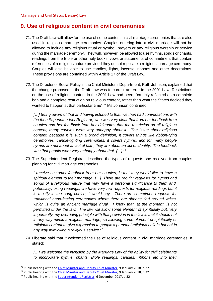# <span id="page-33-0"></span>**9. Use of religious content in civil ceremonies**

- 71. The Draft Law will allow for the use of some content in civil marriage ceremonies that are also used in religious marriage ceremonies. Couples entering into a civil marriage will not be allowed to include any religious ritual or symbol, prayers or any religious worship or service during the marriage ceremony. They will, however, be allowed to use hymns, songs or chants, readings from the Bible or other holy books, vows or statements of commitment that contain references of a religious nature provided they do not replicate a religious marriage ceremony. Couples will also be able to use candles, lights, incense, ribbons and other decorations. These provisions are contained within Article 17 of the Draft Law.
- 72. The Director of Social Policy in the Chief Minister's Department, Ruth Johnson, explained that the change proposed in the Draft Law was to correct an error in the 2001 Law. Restrictions on the use of religious content in the 2001 Law had been, "crudely reflected as a complete ban and a complete restriction on religious content, rather than what the States decided they wanted to happen at that particular time".<sup>75</sup> Ms Johnson continued:

*[…] Being aware of that and having listened to that, we then had conversations with the then Superintendent Registrar, who was very clear that from her feedback from couples and her feedback from her delegates that the restriction on all religious content, many couples were very unhappy about it. The issue about religious content, because it is such a broad definition, it covers things like ribbon-tying ceremonies, candle-lighting ceremonies, it covers hymns, and for many people hymns are not about an act of faith, they are about an act of identity. The feedback was that people were very unhappy about that. […].<sup>76</sup>* 

73. The Superintendent Registrar described the types of requests she received from couples planning for civil marriage ceremonies:

*I receive customer feedback from our couples, is that they would like to have a spiritual element to their marriage. […]. There are regular requests for hymns and songs of a religious nature that may have a personal significance to them and, potentially, using readings; we have very few requests for religious readings but it is mostly in the song choice, I would say. There are sometimes requests for traditional hand-fasting ceremonies where there are ribbons tied around wrists, which is quite an ancient marriage ritual. I know that, at the moment, is not permitted under the law. The law will allow some element of spirituality but, very importantly, my overriding principle with that provision in the law is that it should not in any way mimic a religious marriage, so allowing some element of spirituality or religious content to give expression to people's personal religious beliefs but not in any way mimicking a religious service.<sup>77</sup>*

74. Liberate said that it welcomed the use of religious content in civil marriage ceremonies. It stated:

*[…] we welcome the inclusion by the Marriage Law of the ability for civil celebrants to incorporate hymns, chants, Bible readings, candles, ribbons etc into their* 

<sup>&</sup>lt;sup>75</sup> Public hearing with the *Chief Minister and Deputy Chief Minister*, 9 January 2018, p.22

<sup>&</sup>lt;sup>76</sup> Public hearing with the [Chief Minister and Deputy Chief Minister,](http://www.statesassembly.gov.je/scrutinyreviewtranscripts/2018/transcript%20-%20marriage%20and%20civil%20status%20law%20-%20chief%20minister%20-%209%20january%202018.pdf) 9 January 2018, p.22

<sup>77</sup> Public hearing with the [Superintendent Registrar,](http://www.statesassembly.gov.je/scrutinyreviewtranscripts/2017/transcript%20-%20marriage%20and%20civil%20status%20law%20-%20superintendent%20registrar%20-%206%20december%202017.pdf) 6 December 2017, p.32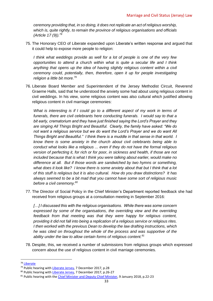*ceremony providing that, in so doing, it does not replicate an act of religious worship, which is, quite rightly, to remain the province of religious organisations and officials (Article 17 (9)).<sup>78</sup>*

75. The Honorary CEO of Liberate expanded upon Liberate's written response and argued that it could help to expose more people to religion:

*I think what weddings provide as well for a lot of people is one of the very few opportunities to attend a church within what is quite a secular life and I think*  anything that opens up the idea of having slightly religious content within a civil *ceremony could, potentially, then, therefore, open it up for people investigating religion a little bit more.<sup>79</sup>*

76. Liberate Board Member and Superintendent of the Jersey Methodist Circuit, Reverend Graeme Halls, said that he understood the anxiety some had about using religious content in civil weddings. In his view, some religious content was also cultural which justified allowing religious content in civil marriage ceremonies:

*What is interesting is if I could go to a different aspect of my work in terms of funerals, there are civil celebrants here conducting funerals. I would say to that a bit early, crematorium and they have just finished saying the Lord's Prayer and they are singing All Things Bright and Beautiful. Clearly, the family have asked: "We do not want a religious service but we do want the Lord's Prayer and we do want All Things Bright and Beautiful." I think there is a muddle in that sense in that world. I know there is some anxiety in the church about civil celebrants being able to conduct what looks like a religious ... even if they do not have the formal religious version of perfecting it, for rich or for poor, in sickness and health, if those are not included because that is what I think you were talking about earlier, would make no difference at all. But if those words are sandwiched by two hymns or something, what does it look like? I know there is some anxiety about that but I think that a lot of this stuff is religious but it is also cultural. How do you draw distinctions? It has always seemed to be a bit mad that you cannot have some sort of religious music before a civil ceremony.<sup>80</sup>*

77. The Director of Social Policy in the Chief Minister's Department reported feedback she had received from religious groups at a consultation meeting in September 2016:

*[…] I discussed this with the religious organisations. While there was some concern expressed by some of the organisations, the overriding view and the overriding feedback from that meeting was that they were happy for religious content, providing it did not fall into being a replication of a religious service or religious rites. I then worked with the previous Dean to develop the law drafting instructions, which he was cited on throughout the whole of the process and was supportive of the ability under the law to allow certain forms of religious content.<sup>81</sup>*

78. Despite, this, we received a number of submissions from religious groups which expressed concern about the use of religious content in civil marriage ceremonies.

<sup>78</sup> [Liberate](http://www.statesassembly.gov.je/scrutinyreviewsubmissions/submissions%20-%20draft%20marriage%20and%20civil%20status%20(amendment%20no.%204)%20(jersey)%20law%20-%20liberate%20-%202%20november%202017.pdf)

<sup>&</sup>lt;sup>79</sup> Public hearing wit[h Liberate Jersey,](http://www.statesassembly.gov.je/scrutinyreviewtranscripts/2017/transcript%20-%20marriage%20and%20civil%20status%20law%20-%20liberate%20jersey%20-%207%20december%202017.pdf) 7 December 2017, p.28

<sup>80</sup> Public hearing wit[h Liberate Jersey,](http://www.statesassembly.gov.je/scrutinyreviewtranscripts/2017/transcript%20-%20marriage%20and%20civil%20status%20law%20-%20liberate%20jersey%20-%207%20december%202017.pdf) 7 December 2017, p.26-27

<sup>&</sup>lt;sup>81</sup> Public hearing with the [Chief Minister and Deputy Chief Minister,](http://www.statesassembly.gov.je/scrutinyreviewtranscripts/2018/transcript%20-%20marriage%20and%20civil%20status%20law%20-%20chief%20minister%20-%209%20january%202018.pdf) 9 January 2018, p.22-23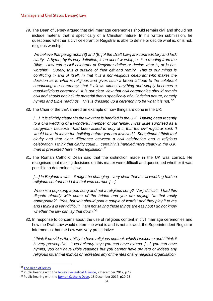79. The Dean of Jersey argued that civil marriage ceremonies should remain civil and should not include material that is specifically of a Christian nature. In his written submission, he questioned whether a civil celebrant or Registrar is able to define or decide what is, or is not, religious worship:

*We believe that paragraphs (8) and (9) [of the Draft Law] are contradictory and lack clarity. A hymn, by its very definition, is an act of worship, as is a reading from the Bible. How can a civil celebrant or Registrar define or decide what is, or is not, worship? Surely, this is outside of their gift and remit? This to our minds is conflicting in and of itself, in that it is a non-religious celebrant who makes the decision as to what is religious and gives such a broad latitude to the celebrant conducting the ceremony, that it allows almost anything and simply becomes a quasi-religious ceremony! It is our clear view that civil ceremonies should remain civil and should not include material that is specifically of a Christian nature, namely hymns and Bible readings. This is dressing up a ceremony to be what it is not. <sup>82</sup>*

80. The Chair of the JEA shared an example of how things are done in the UK:

[...] It is slightly clearer in the way that is handled in the U.K. Having been recently *to a civil wedding of a wonderful member of our family, I was quite surprised as a clergyman, because I had been asked to pray at it, that the civil registrar said: "I would have to leave the building before you are involved." Sometimes I think that clarity and that clear difference between a civil celebration and a religious celebration, I think that clarity could ... certainly is handled more clearly in the U.K. than is presented here in this legislation.<sup>83</sup>*

81. The Roman Catholic Dean said that the distinction made in the UK was correct. He recognised that making decisions on this matter were difficult and questioned whether it was possible to determine in law:

*[…] in England it was - it might be changing - very clear that a civil wedding had no religious content and I felt that was correct. […].* 

*When is a pop song a pop song and not a religious song? Very difficult. I had this dispute already with some of the brides and you are saying: "Is that really appropriate?" "Yes, but you should print a couple of words" and they play it to me and I think it is very difficult. I am not saying those things are easy but I do not know whether the law can lay that down.<sup>84</sup>*

82. In response to concerns about the use of religious content in civil marriage ceremonies and how the Draft Law would determine what is and is not allowed, the Superintendent Registrar informed us that the Law was very prescriptive:

*I think it provides the ability to have religious content, which I welcome and I think it is very prescriptive. It very clearly says you can have hymns, […], you can have hymns, you can have Bible readings but you cannot have prayers or indeed any religious ritual that mimics or recreates any of the rites of any religious organisation.* 

<sup>82</sup> [The Dean of Jersey](http://www.statesassembly.gov.je/scrutinyreviewsubmissions/submission%20-%20draft%20marriage%20and%20civil%20status%20(amendment%20no.%204)%20(jersey)%20law%20-%20dean%20of%20jersey%20-%2028%20october%202017.pdf)

<sup>&</sup>lt;sup>83</sup> Public hearing with the [Jersey Evangelical Alliance,](http://www.statesassembly.gov.je/scrutinyreviewtranscripts/2017/transcript%20-%20marriage%20and%20civil%20status%20law%20-%20jersey%20evangelical%20alliance%20-%207%20december%202017.pdf) 7 December 2017, p.17

<sup>&</sup>lt;sup>84</sup> Public hearing with the [Roman Catholic Dean,](http://www.statesassembly.gov.je/scrutinyreviewtranscripts/2017/transcript%20-%20marriage%20and%20civil%20status%20law%20-%20roman%20catholic%20dean%20-%2018%20december%202017.pdf) 18 December 2017, p20-23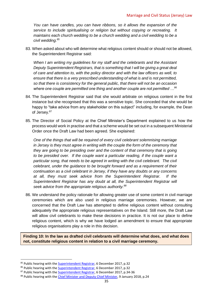*You can have candles, you can have ribbons, so it allows the expansion of the service to include spiritualising or religion but without copying or recreating. It maintains each church wedding to be a church wedding and a civil wedding to be a civil wedding.<sup>85</sup>*

83. When asked about who will determine what religious content should or should not be allowed, the Superintendent Registrar said:

*When I am writing my guidelines for my staff and the celebrants and the Assistant Deputy Superintendent Registrars, that is something that I will be giving a great deal of care and attention to, with the policy director and with the law officers as well, to ensure that there is a very prescribed understanding of what is and is not permitted, so that there is consistency for the general public, that there will not be an occasion where one couple are permitted one thing and another couple are not permitted …<sup>86</sup>*

- 84. The Superintendent Registrar said that she would arbitrate on religious content in the first instance but she recognised that this was a sensitive topic. She conceded that she would be happy to "take advice from any stakeholder on this subject" including, for example, the Dean of Jersey.<sup>87</sup>
- 85. The Director of Social Policy at the Chief Minister's Department explained to us how the process would work in practise and that a scheme would be set out in a subsequent Ministerial Order once the Draft Law had been agreed. She explained:

*One of the things that will be required of every civil celebrant solemnising marriage in Jersey is they must agree in writing with the couple the form of the ceremony that they are going to be presiding over and the content of that ceremony that is going to be presided over. If the couple want a particular reading, if the couple want a particular song, that needs to be agreed in writing with the civil celebrant. The civil celebrant, under the guidance to be brought forward and as a requirement of their continuation as a civil celebrant in Jersey, if they have any doubts or any concerns at all, they must seek advice from the Superintendent Registrar. If the Superintendent Registrar has any doubt at all, the Superintendent Registrar will seek advice from the appropriate religious authority.<sup>88</sup>*

86. We understand the policy rationale for allowing greater use of some content in civil marriage ceremonies which are also used in religious marriage ceremonies. However, we are concerned that the Draft Law has attempted to define religious content without consulting adequately the appropriate religious representatives on the Island. Still more, the Draft Law will allow civil celebrants to make these decisions in practice. It is not our place to define religious content, which is why we have lodged an amendment to ensure that appropriate religious organisations play a role in this decision.

<span id="page-36-0"></span>**Finding 10: In the law as drafted civil celebrants will determine what does, and what does not, constitute religious content in relation to a civil marriage ceremony.** 

<sup>&</sup>lt;sup>85</sup> Public hearing with the **Superintendent Registrar**, 6 December 2017, p.32

<sup>&</sup>lt;sup>86</sup> Public hearing with the **Superintendent Registrar**, 6 December 2017, p.32

<sup>87</sup> Public hearing with the [Superintendent Registrar,](http://www.statesassembly.gov.je/scrutinyreviewtranscripts/2017/transcript%20-%20marriage%20and%20civil%20status%20law%20-%20superintendent%20registrar%20-%206%20december%202017.pdf) 6 December 2017, p.34-36

<sup>88</sup> Public hearing with the [Chief Minister and Deputy Chief Minister,](http://www.statesassembly.gov.je/scrutinyreviewtranscripts/2018/transcript%20-%20marriage%20and%20civil%20status%20law%20-%20chief%20minister%20-%209%20january%202018.pdf) 9 January 2018, p.24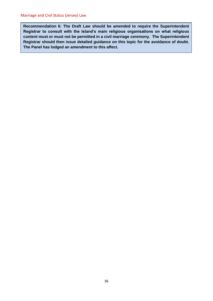<span id="page-37-0"></span>**Recommendation 6: The Draft Law should be amended to require the Superintendent Registrar to consult with the Island's main religious organisations on what religious content must or must not be permitted in a civil marriage ceremony. The Superintendent Registrar should then issue detailed guidance on this topic for the avoidance of doubt. The Panel has lodged an amendment to this affect.**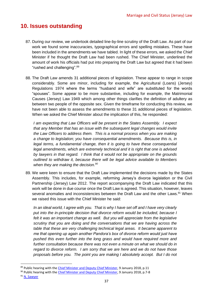# <span id="page-38-0"></span>**10. Issues outstanding**

- 87. During our review, we undertook detailed line-by-line scrutiny of the Draft Law. As part of our work we found some inaccuracies, typographical errors and spelling mistakes. These have been included in the amendments we have tabled. In light of these errors, we asked the Chief Minister if he thought the Draft Law had been rushed. The Chief Minister, underlined the amount of work his officials had put into preparing the Draft Law but agreed that it had been "rushed and challenging".<sup>89</sup>
- 88. The Draft Law amends 31 additional pieces of legislation. These appear to range in scope considerably. Some are minor, including for example, the Agricultural (Loans) (Jersey) Regulations 1974 where the terms "husband and wife" are substituted for the words "spouses". Some appear to be more substantive, including for example, the Matrimonial Causes (Jersey) Law 1949 which among other things clarifies the definition of adultery as between two people of the opposite sex. Given the timeframe for conducting this review, we have not been able to assess the amendments to these 31 additional pieces of legislation. When we asked the Chief Minister about the implication of this, he responded:

*I am expecting that Law Officers will be present in the States Assembly. I expect that any Member that has an issue with the subsequent legal changes would invite the Law Officers to address them. This is a normal process when you are making a change to legislation; you have consequential amendments. Because this is, in legal terms, a fundamental change, then it is going to have these consequential legal amendments, which are extremely technical and it is right that one is advised by lawyers in that regard. I think that it would not be appropriate on the grounds outlined to withdraw it, because there will be legal advice available to Members when they are making the decision. 90*

89. We were keen to ensure that the Draft Law implemented the decisions made by the States Assembly. This includes, for example, reforming Jersey's divorce legislation or the Civil Partnership (Jersey) Law 2012. The report accompanying the Draft Law indicated that this work will be done in due course once the Draft Law is agreed. This situation, however, leaves several anomalies and inconsistencies between the Draft Law and the other Laws.<sup>91</sup> When we raised this issue with the Chief Minister he said:

*In an ideal world, I agree with you. That is why I have set off and I have very clearly*  put into the in-principle decision that divorce reform would be included, because I *felt it was an important change as well. But you will appreciate from the legislative scrutiny that you are doing and the conversations that we are having across the table that these are very challenging technical legal areas. It became apparent to me that opening up again another Pandora's box of divorce reform would just have pushed this even further into the long grass and would have required more and further consultation because there was not even a minute on what we should do in regard to divorce reform. I am sorry that we are here and we do not have those proposals before you. The point you are making I absolutely accept. But I do not* 

<sup>&</sup>lt;sup>89</sup> Public hearing with the [Chief Minister and Deputy Chief Minister,](http://www.statesassembly.gov.je/scrutinyreviewtranscripts/2018/transcript%20-%20marriage%20and%20civil%20status%20law%20-%20chief%20minister%20-%209%20january%202018.pdf) 9 January 2018, p.11

<sup>90</sup> Public hearing with the [Chief Minister and Deputy Chief Minister,](http://www.statesassembly.gov.je/scrutinyreviewtranscripts/2018/transcript%20-%20marriage%20and%20civil%20status%20law%20-%20chief%20minister%20-%209%20january%202018.pdf) 9 January 2018, p.7-8

<sup>&</sup>lt;sup>91</sup> [N. Sawyer](http://www.statesassembly.gov.je/scrutinyreviewsubmissions/submission%20-%20draft%20marriage%20and%20civil%20status%20(amendment%20no.%204)%20(jersey)%20law%20-%20n%20sawyer%20-%2013%20october%202017.pdfhttp:/www.statesassembly.gov.je/scrutinyreviewsubmissions/submission%20-%20draft%20marriage%20and%20civil%20status%20(amendment%20no.%204)%20(jersey)%20law%20-%20n%20sawyer%20-%2013%20october%202017.pdf)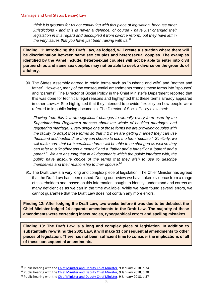#### Marriage and Civil Status (Jersey) Law

*think it is grounds for us not continuing with this piece of legislation, because other jurisdictions - and this is never a defence, of course - have just changed their legislation in this regard and decoupled it from divorce reform, but they have left in the very issues that you have just been raising with us.<sup>92</sup>*

<span id="page-39-0"></span>**Finding 11: Introducing the Draft Law, as lodged, will create a situation where there will be discrimination between same sex couples and heterosexual couples. The examples identified by the Panel include: heterosexual couples will not be able to enter into civil partnerships and same sex couples may not be able to seek a divorce on the grounds of adultery.** 

90. The States Assembly agreed to retain terms such as "husband and wife" and "mother and father". However, many of the consequential amendments change these terms into "spouses" and "parents". The Director of Social Policy in the Chief Minister's Department reported that this was done for technical legal reasons and highlighted that these terms already appeared in other Laws.<sup>93</sup> She highlighted that they intended to provide flexibility on how people were referred to in public facing documents. The Director of Social Policy explained:

*Flowing from this law are significant changes to virtually every form used by the Superintendent Registrar's process about the whole of booking marriages and registering marriage. Every single one of those forms we are providing couples with the facility to adapt those forms so that if 2 men are getting married they can use "husband and husband" or they can choose to use the term "spouse." Similarly, we will make sure that birth certificate forms will be able to be changed as well so they can refer to a "mother and a mother" and a "father and a father" or a "parent and a parent." We are ensuring that in all documents which the public interface with, the public have absolute choice of the terms that they wish to use to describe themselves and their relationship to their spouse.<sup>94</sup>*

91. The Draft Law is a very long and complex piece of legislation. The Chief Minister has agreed that the Draft Law has been rushed. During our review we have taken evidence from a range of stakeholders and, based on this information, sought to identify, understand and correct as many deficiencies as we can in the time available. While we have found several errors, we cannot guarantee that the Draft Law does not contain any more errors.

<span id="page-39-1"></span>**Finding 12: After lodging the Draft Law, two weeks before it was due to be debated, the Chief Minister lodged 24 separate amendments to the Draft Law. The majority of these amendments were correcting inaccuracies, typographical errors and spelling mistakes.**

<span id="page-39-2"></span>**Finding 13: The Draft Law is a long and complex piece of legislation. In addition to substantially re-writing the 2001 Law, it will make 31 consequential amendments to other pieces of legislation. There has not been sufficient time to consider the implications of all of these consequential amendments.** 

<sup>92</sup> Public hearing with the [Chief Minister and Deputy Chief Minister,](http://www.statesassembly.gov.je/scrutinyreviewtranscripts/2018/transcript%20-%20marriage%20and%20civil%20status%20law%20-%20chief%20minister%20-%209%20january%202018.pdf) 9 January 2018, p.34

<sup>93</sup> Public hearing with the [Chief Minister and Deputy Chief Minister,](http://www.statesassembly.gov.je/scrutinyreviewtranscripts/2018/transcript%20-%20marriage%20and%20civil%20status%20law%20-%20chief%20minister%20-%209%20january%202018.pdf) 9 January 2018, p.38

<sup>94</sup> Public hearing with the [Chief Minister and Deputy Chief Minister,](http://www.statesassembly.gov.je/scrutinyreviewtranscripts/2018/transcript%20-%20marriage%20and%20civil%20status%20law%20-%20chief%20minister%20-%209%20january%202018.pdf) 9 January 2018, p.37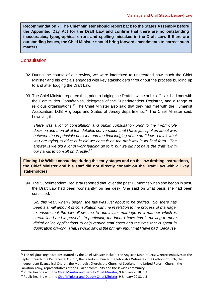<span id="page-40-2"></span>**Recommendation 7: The Chief Minister should report back to the States Assembly before the Appointed Day Act for the Draft Law and confirm that there are no outstanding inaccuracies, typographical errors and spelling mistakes in the Draft Law. If there are outstanding issues, the Chief Minister should bring forward amendments to correct such matters.** 

## <span id="page-40-0"></span>**Consultation**

 $\overline{a}$ 

- 92. During the course of our review, we were interested to understand how much the Chief Minister and his officials engaged with key stakeholders throughout the process building up to and after lodging the Draft Law.
- 93. The Chief Minister reported that, prior to lodging the Draft Law, he or his officials had met with the Comité des Connétables, delegates of the Superintendent Registrar, and a range of religious organisations.<sup>95</sup> The Chief Minister also said that they had met with the Humanist Association, LGBT+ groups and States of Jersey departments.<sup>96</sup> The Chief Minister said, however, that:

*There was a lot of consultation and public consultation prior to the in-principle decision and then all of that detailed conversation that I have just spoken about was between the in-principle decision and the final lodging of the draft law. I think what you are trying to drive at is did we consult on the draft law in its final form. The answer is we did a lot of work leading up to it, but we did not have the draft law in our hands to consult on directly.<sup>97</sup>*

<span id="page-40-1"></span>**Finding 14: Whilst consulting during the early stages and on the law drafting instructions, the Chief Minister and his staff did not directly consult on the Draft Law with all key stakeholders.** 

94. The Superintendent Registrar reported that, over the past 11 months when she began in post, the Draft Law had been "constantly" on her desk. She said on what basis she had been consulted:

*So, this year, when I began, the law was just about to be drafted. So, there has been a small amount of consultation with me in relation to the process of marriage, to ensure that the law allows me to administer marriage in a manner which is streamlined and improved. In particular, the input I have had is moving to more digital online applications to help reduce staff costs and the time that is spent in duplication of work. That, I would say, is the primary input that I have had. Because,* 

 $95$  The religious organisations quoted by the Chief Minister include: the Anglican Dean of Jersey, representatives of the Baptist Church, the Pentecostal Church, the Freedom Church, the Jehovah's Witnesses, the Catholic Church, the Independent Evangelical Church, the Methodist Church, the Church of Scotland, the United Reform Church, the Salvation Army, representatives of the Quaker community and the Jewish community.

96 Public hearing with the [Chief Minister and Deputy Chief Minister,](http://www.statesassembly.gov.je/scrutinyreviewtranscripts/2018/transcript%20-%20marriage%20and%20civil%20status%20law%20-%20chief%20minister%20-%209%20january%202018.pdf) 9 January 2018, p.3

 $97$  Public hearing with the [Chief Minister and Deputy Chief Minister,](http://www.statesassembly.gov.je/scrutinyreviewtranscripts/2018/transcript%20-%20marriage%20and%20civil%20status%20law%20-%20chief%20minister%20-%209%20january%202018.pdf) 9 January 2018, p.3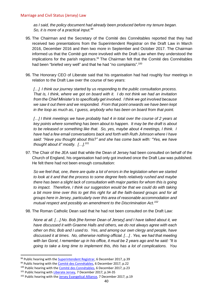#### Marriage and Civil Status (Jersey) Law

*as I said, the policy document had already been produced before my tenure began. So, it is more of a practical input.<sup>98</sup>*

- 95. The Chairman and the Secretary of the Comité des Connétables reported that they had received two presentations from the Superintendent Registrar on the Draft Law in March 2016, December 2016 and then two more in September and October 2017. The Chairman informed us that the Comité got more involved with the Draft Law when they understood the implications for the parish registrars.<sup>99</sup> The Chairman felt that the Comité des Connétables had been "briefed very well" and that he had "no complaints".<sup>100</sup>
- 96. The Honorary CEO of Liberate said that his organisation had had roughly four meetings in relation to the Draft Law over the course of two years:

*[…] I think our journey started by us responding to the public consultation process. That is, I think, where we got on board with it. I do not think we had an invitation from the Chief Minister's to specifically get involved. I think we got involved because we saw it out there and we responded. From that point onwards we have been kept in the loop as much as, I guess, anybody who has been on board from that point.*

[...] I think meetings we have probably had 4 in total over the course of 2 years at *key points where something has been about to happen. It may be the draft is about to be released or something like that. So, yes, maybe about 4 meetings, I think. I have had a few email conversations back and forth with Ruth Johnson where I have said: "Have you thought about this?" and she has come back with: "Yes, we have thought about it" mostly. […].<sup>101</sup>*

97. The Chair of the JEA said that while the Dean of Jersey had been consulted on behalf of the Church of England, his organisation had only got involved once the Draft Law was published. He felt there had not been enough consultation:

*So we feel that, one, there are quite a lot of errors in the legislation when we started to look at it and that the process to some degree feels relatively rushed and maybe there has been a slight lack of consultation with major parties for whom this is going*  to impact. Therefore, I think our suggestion would be that we could do with taking *a bit more time over this to get this right for all the faith-based groups and for all groups here in Jersey, particularly over this area of reasonable accommodation and mutual respect and possibly an amendment to the Discrimination Act.<sup>102</sup>*

98. The Roman Catholic Dean said that he had not been consulted on the Draft Law:

*None at all. […] No. Bob [the former Dean of Jersey] and I have talked about it, we have discussed it with Graeme Halls and others, we do not always agree with each other on this; Bob and I used to. Yes, and among our own clergy and people, have discussed it at times. No, otherwise nothing official. […] . Yes, we had that meeting with Ian Gorst, I remember up in his office, it must be 2 years ago and he said: "It is going to take a long time to implement this, this has a lot of complications. You* 

 $\ddot{\phantom{a}}$ 

<sup>98</sup> Public hearing with the **Superintendent Registrar**, 6 December 2017, p.39

<sup>99</sup> Public hearing with the [Comité des Connétables,](http://www.statesassembly.gov.je/scrutinyreviewtranscripts/2017/transcript%20-%20marriage%20and%20civil%20status%20law%20-%20comit%c3%a9%20des%20conn%c3%a9tables%20-%206%20december%202017.pdf) 6 December 2017, p.22

<sup>&</sup>lt;sup>100</sup> Public hearing with th[e Comité des Connétables,](http://www.statesassembly.gov.je/scrutinyreviewtranscripts/2017/transcript%20-%20marriage%20and%20civil%20status%20law%20-%20comit%c3%a9%20des%20conn%c3%a9tables%20-%206%20december%202017.pdf) 6 December 2017, p.23

<sup>&</sup>lt;sup>101</sup> Public hearing with [Liberate Jersey,](http://www.statesassembly.gov.je/scrutinyreviewtranscripts/2017/transcript%20-%20marriage%20and%20civil%20status%20law%20-%20liberate%20jersey%20-%207%20december%202017.pdf) 7 December 2017, p.34-35

<sup>&</sup>lt;sup>102</sup> Public hearing with th[e Jersey Evangelical Alliance,](http://www.statesassembly.gov.je/scrutinyreviewtranscripts/2017/transcript%20-%20marriage%20and%20civil%20status%20law%20-%20jersey%20evangelical%20alliance%20-%207%20december%202017.pdf) 7 December 2017, p.19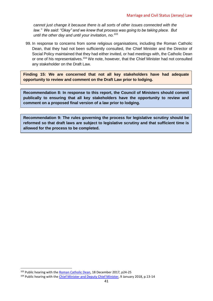*cannot just change it because there is all sorts of other issues connected with the law." We said: "Okay" and we knew that process was going to be taking place. But until the other day and until your invitation, no.<sup>103</sup>*

99. In response to concerns from some religious organisations, including the Roman Catholic Dean, that they had not been sufficiently consulted, the Chief Minister and the Director of Social Policy maintained that they had either invited, or had meetings with, the Catholic Dean or one of his representatives.<sup>104</sup> We note, however, that the Chief Minister had not consulted any stakeholder on the Draft Law.

<span id="page-42-0"></span>**Finding 15: We are concerned that not all key stakeholders have had adequate opportunity to review and comment on the Draft Law prior to lodging.** 

<span id="page-42-1"></span>**Recommendation 8: In response to this report, the Council of Ministers should commit publically to ensuring that all key stakeholders have the opportunity to review and comment on a proposed final version of a law prior to lodging.** 

<span id="page-42-2"></span>**Recommendation 9: The rules governing the process for legislative scrutiny should be reformed so that draft laws are subject to legislative scrutiny and that sufficient time is allowed for the process to be completed.** 

<sup>&</sup>lt;sup>103</sup> Public hearing with th[e Roman Catholic Dean,](http://www.statesassembly.gov.je/scrutinyreviewtranscripts/2017/transcript%20-%20marriage%20and%20civil%20status%20law%20-%20roman%20catholic%20dean%20-%2018%20december%202017.pdf) 18 December 2017, p24-25

<sup>&</sup>lt;sup>104</sup> Public hearing with the *Chief Minister and Deputy Chief Minister*, 9 January 2018, p.13-14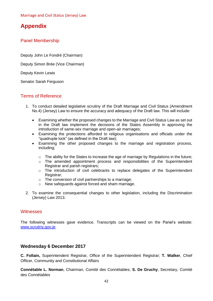# <span id="page-43-0"></span>**Appendix**

## <span id="page-43-1"></span>Panel Membership

[Deputy John Le Fondré \(Chairman\)](http://www.statesassembly.gov.je/Pages/Members.aspx?MemberId=90)

[Deputy Simon Brée \(Vice Chairman\)](http://www.statesassembly.gov.je/Pages/Members.aspx?MemberId=96http://www.statesassembly.gov.je/Pages/Members.aspx?MemberId=96)

[Deputy Kevin Lewis](http://www.statesassembly.gov.je/Pages/Members.aspx?MemberId=170) 

[Senator Sarah Ferguson](http://www.statesassembly.gov.je/Pages/Members.aspx?MemberId=66http://www.statesassembly.gov.je/Pages/Members.aspx?MemberId=66)

## <span id="page-43-2"></span>Terms of Reference

- 1. To conduct detailed legislative scrutiny of the Draft Marriage and Civil Status (Amendment No.4) (Jersey) Law to ensure the accuracy and adequacy of the Draft law. This will include:
	- Examining whether the proposed changes to the Marriage and Civil Status Law as set out in the Draft law implement the decisions of the States Assembly in approving the introduction of same-sex marriage and open-air marriages;
	- Examining the protections afforded to religious organisations and officials under the "quadruple lock" (as defined in the Draft law);
	- Examining the other proposed changes to the marriage and registration process, including;
		- o The ability for the States to increase the age of marriage by Regulations in the future;
		- $\circ$  The amended appointment process and responsibilities of the Superintendent Registrar and parish registrars;
		- $\circ$  The introduction of civil celebrants to replace delegates of the Superintendent Registrar:
		- o The conversion of civil partnerships to a marriage;
		- o New safeguards against forced and sham marriage.
- 2. To examine the consequential changes to other legislation, including the Discrimination (Jersey) Law 2013.

## <span id="page-43-3"></span>**Witnesses**

The following witnesses gave evidence. Transcripts can be viewed on the Panel's website: [www.scrutiny.gov.je.](http://www.scrutiny.gov.je/)

## **Wednesday 6 December 2017**

**C. Follain,** Superintendent Registrar, Office of the Superintendent Registrar; **T. Walker**, Chief Officer, Community and Constitutional Affairs

**Connétable L. Norman**, Chairman, Comité des Connétables; **S. De Gruchy**, Secretary, Comité des Connétables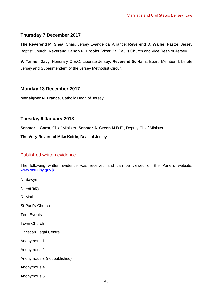## **Thursday 7 December 2017**

**The Reverend M. Shea**, Chair, Jersey Evangelical Alliance; **Reverend D. Waller**, Pastor, Jersey Baptist Church; **Reverend Canon P. Brooks**, Vicar, St. Paul's Church and Vice Dean of Jersey

**V. Tanner Davy**, Honorary C.E.O, Liberate Jersey; **Reverend G. Halls**, Board Member, Liberate Jersey and Superintendent of the Jersey Methodist Circuit

## **Monday 18 December 2017**

**Monsignor N. France**, Catholic Dean of Jersey

## **Tuesday 9 January 2018**

**Senator I. Gorst**, Chief Minister; **Senator A. Green M.B.E**., Deputy Chief Minister

**The Very Reverend Mike Keirle**, Dean of Jersey

## <span id="page-44-0"></span>Published written evidence

The following written evidence was received and can be viewed on the Panel's website: [www.scrutiny.gov.je.](http://www.scrutiny.gov.je/)

- N. Sawyer
- N. Ferraby
- R. Mari
- St Paul's Church

Tern Events

Town Church

Christian Legal Centre

Anonymous 1

Anonymous 2

Anonymous 3 (not published)

Anonymous 4

Anonymous 5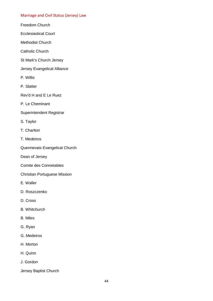#### Marriage and Civil Status (Jersey) Law

- Freedom Church
- Ecclesiastical Court
- Methodist Church
- Catholic Church
- St Mark's Church Jersey
- Jersey Evangelical Alliance
- P. Willis
- P. Slatter
- Rev'd H and E Le Ruez
- P. Le Cheminant
- Superintendent Registrar
- S. Taylor
- T. Charlton
- T. Medeiros
- Quennevais Evangelical Church
- Dean of Jersey
- Comite des Connetables
- Christian Portuguese Mission
- E. Waller
- D. Roszczenko
- D. Cross
- B. Whitchurch
- B. Miles
- G. Ryan
- G. Medeiros
- H. Morton
- H. Quinn
- J. Gordon
- Jersey Baptist Church